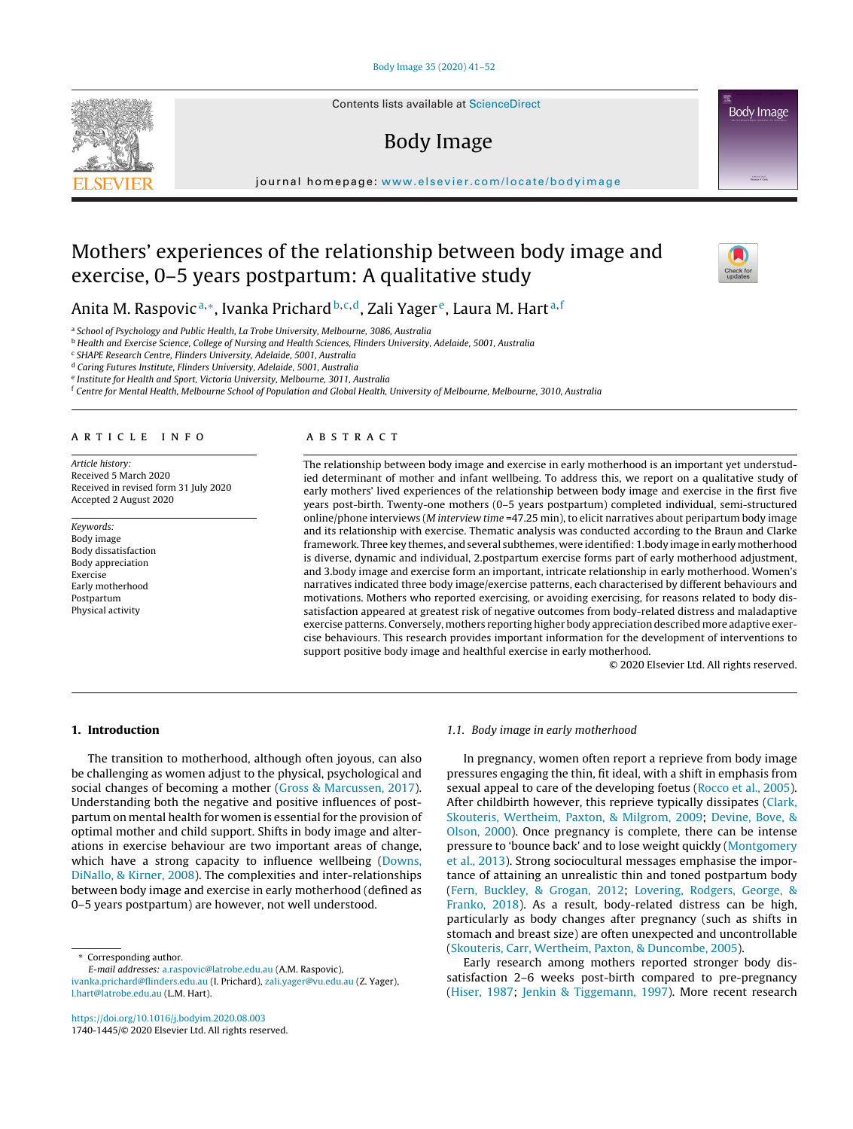Contents lists available at [ScienceDirect](http://www.sciencedirect.com/science/journal/17401445)

# Body Image

journal homepage: [www.elsevier.com/locate/bodyimage](http://www.elsevier.com/locate/bodyimage)

# Mothers' experiences of the relationship between body image and exercise, 0–5 years postpartum: A qualitative study

Anita M. Raspovic<sup>a,\*</sup>, Ivanka Prichard<sup>b,c,d</sup>, Zali Yager<sup>e</sup>, Laura M. Hart<sup>a,f</sup>

a School of Psychology and Public Health, La Trobe University, Melbourne, 3086, Australia

 $<sup>b</sup>$  Health and Exercise Science, College of Nursing and Health Sciences, Flinders University, Adelaide, 5001, Australia</sup>

<sup>c</sup> SHAPE Research Centre, Flinders University, Adelaide, 5001, Australia

 $^{\rm d}$  Caring Futures Institute, Flinders University, Adelaide, 5001, Australia

<sup>e</sup> Institute for Health and Sport, Victoria University, Melbourne, 3011, Australia

<sup>f</sup> Centre for Mental Health, Melbourne School of Population and Global Health, University of Melbourne, Melbourne, 3010, Australia

## a r t i c l e i n f o

Article history: Received 5 March 2020 Received in revised form 31 July 2020 Accepted 2 August 2020

Keywords: Body image Body dissatisfaction Body appreciation Exercise Early motherhood Postpartum Physical activity

# A B S T R A C T

The relationship between body image and exercise in early motherhood is an important yet understudied determinant of mother and infant wellbeing. To address this, we report on a qualitative study of early mothers' lived experiences of the relationship between body image and exercise in the first five years post-birth. Twenty-one mothers (0–5 years postpartum) completed individual, semi-structured online/phone interviews (M interview time =47.25 min), to elicit narratives about peripartum body image and its relationship with exercise. Thematic analysis was conducted according to the Braun and Clarke framework. Three key themes, and several subthemes, were identified: 1.body image in early motherhood is diverse, dynamic and individual, 2.postpartum exercise forms part of early motherhood adjustment, and 3.body image and exercise form an important, intricate relationship in early motherhood. Women's narratives indicated three body image/exercise patterns, each characterised by different behaviours and motivations. Mothers who reported exercising, or avoiding exercising, for reasons related to body dissatisfaction appeared at greatest risk of negative outcomes from body-related distress and maladaptive exercise patterns. Conversely, mothers reporting higher body appreciation described more adaptive exercise behaviours. This research provides important information for the development of interventions to support positive body image and healthful exercise in early motherhood.

© 2020 Elsevier Ltd. All rights reserved.

## **1. Introduction**

The transition to motherhood, although often joyous, can also be challenging as women adjust to the physical, psychological and social changes of becoming a mother ([Gross](#page-10-0) [&](#page-10-0) [Marcussen,](#page-10-0) [2017\).](#page-10-0) Understanding both the negative and positive influences of postpartum on mental health for women is essential for the provision of optimal mother and child support. Shifts in body image and alterations in exercise behaviour are two important areas of change, which have a strong capacity to influence wellbeing ([Downs,](#page-10-0) [DiNallo,](#page-10-0) [&](#page-10-0) [Kirner,](#page-10-0) [2008\).](#page-10-0) The complexities and inter-relationships between body image and exercise in early motherhood (defined as 0–5 years postpartum) are however, not well understood.

∗ Corresponding author.

E-mail addresses: [a.raspovic@latrobe.edu.au](mailto:a.raspovic@latrobe.edu.au) (A.M. Raspovic), [ivanka.prichard@flinders.edu.au](mailto:ivanka.prichard@flinders.edu.au) (I. Prichard), [zali.yager@vu.edu.au](mailto:zali.yager@vu.edu.au) (Z. Yager), [l.hart@latrobe.edu.au](mailto:l.hart@latrobe.edu.au) (L.M. Hart).

## 1.1. Body image in early motherhood

In pregnancy, women often report a reprieve from body image pressures engaging the thin, fit ideal, with a shift in emphasis from sexual appeal to care of the developing foetus [\(Rocco](#page-10-0) et [al.,](#page-10-0) [2005\).](#page-10-0) After childbirth however, this reprieve typically dissipates [\(Clark,](#page-10-0) [Skouteris,](#page-10-0) [Wertheim,](#page-10-0) [Paxton,](#page-10-0) [&](#page-10-0) [Milgrom,](#page-10-0) [2009;](#page-10-0) [Devine,](#page-10-0) [Bove,](#page-10-0) [&](#page-10-0) [Olson,](#page-10-0) [2000\).](#page-10-0) Once pregnancy is complete, there can be intense pressure to 'bounce back' and to lose weight quickly [\(Montgomery](#page-10-0) et [al.,](#page-10-0) [2013\).](#page-10-0) Strong sociocultural messages emphasise the importance of attaining an unrealistic thin and toned postpartum body [\(Fern,](#page-10-0) [Buckley,](#page-10-0) [&](#page-10-0) [Grogan,](#page-10-0) [2012;](#page-10-0) [Lovering,](#page-10-0) [Rodgers,](#page-10-0) [George,](#page-10-0) [&](#page-10-0) [Franko,](#page-10-0) [2018\).](#page-10-0) As a result, body-related distress can be high, particularly as body changes after pregnancy (such as shifts in stomach and breast size) are often unexpected and uncontrollable [\(Skouteris,](#page-10-0) [Carr,](#page-10-0) [Wertheim,](#page-10-0) [Paxton,](#page-10-0) [&](#page-10-0) [Duncombe,](#page-10-0) [2005\).](#page-10-0)

Early research among mothers reported stronger body dissatisfaction 2–6 weeks post-birth compared to pre-pregnancy [\(Hiser,](#page-10-0) [1987;](#page-10-0) [Jenkin](#page-10-0) [&](#page-10-0) [Tiggemann,](#page-10-0) [1997\).](#page-10-0) More recent research





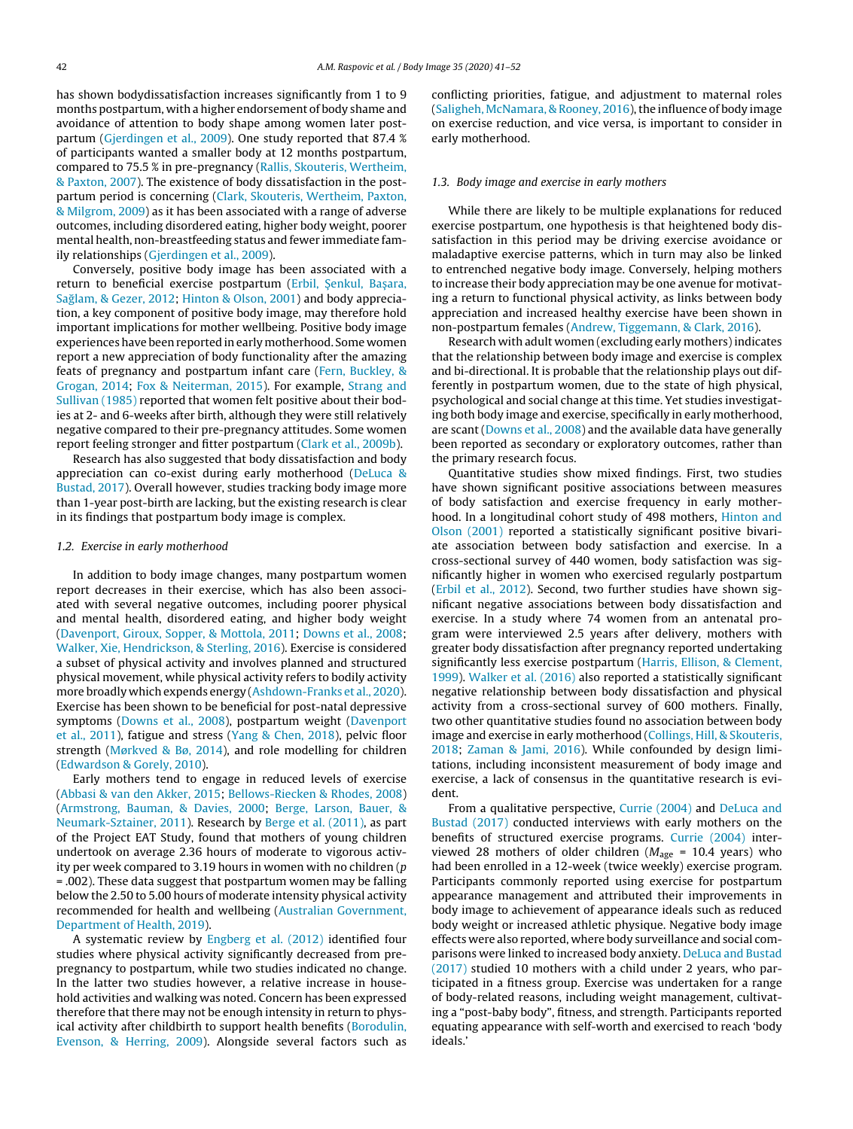has shown bodydissatisfaction increases significantly from 1 to 9 months postpartum, with a higher endorsement of body shame and avoidance of attention to body shape among women later postpartum [\(Gjerdingen](#page-10-0) et [al.,](#page-10-0) [2009\).](#page-10-0) One study reported that 87.4 % of participants wanted a smaller body at 12 months postpartum, compared to 75.5 % in pre-pregnancy [\(Rallis,](#page-10-0) [Skouteris,](#page-10-0) [Wertheim,](#page-10-0) [&](#page-10-0) [Paxton,](#page-10-0) [2007\).](#page-10-0) The existence of body dissatisfaction in the postpartum period is concerning [\(Clark,](#page-10-0) [Skouteris,](#page-10-0) [Wertheim,](#page-10-0) [Paxton,](#page-10-0) [&](#page-10-0) [Milgrom,](#page-10-0) [2009\)](#page-10-0) as it has been associated with a range of adverse outcomes, including disordered eating, higher body weight, poorer mental health, non-breastfeeding status and fewer immediate family relationships [\(Gjerdingen](#page-10-0) et [al.,](#page-10-0) [2009\).](#page-10-0)

Conversely, positive body image has been associated with a return to beneficial exercise postpartum ([Erbil,](#page-10-0) Ş[enkul,](#page-10-0) Baş[ara,](#page-10-0) Sağlam, [&](#page-10-0) [Gezer,](#page-10-0) [2012;](#page-10-0) [Hinton](#page-10-0) & [Olson,](#page-10-0) [2001\)](#page-10-0) and body appreciation, a key component of positive body image, may therefore hold important implications for mother wellbeing. Positive body image experiences have been reported in early motherhood. Some women report a new appreciation of body functionality after the amazing feats of pregnancy and postpartum infant care ([Fern,](#page-10-0) [Buckley,](#page-10-0) [&](#page-10-0) [Grogan,](#page-10-0) [2014;](#page-10-0) [Fox](#page-10-0) [&](#page-10-0) [Neiterman,](#page-10-0) [2015\).](#page-10-0) For example, [Strang](#page-11-0) [and](#page-11-0) [Sullivan](#page-11-0) [\(1985\)](#page-11-0) reported that women felt positive about their bodies at 2- and 6-weeks after birth, although they were still relatively negative compared to their pre-pregnancy attitudes. Some women report feeling stronger and fitter postpartum ([Clark](#page-10-0) et [al.,](#page-10-0) [2009b\).](#page-10-0)

Research has also suggested that body dissatisfaction and body appreciation can co-exist during early motherhood ([DeLuca](#page-10-0) [&](#page-10-0) [Bustad,](#page-10-0) [2017\).](#page-10-0) Overall however, studies tracking body image more than 1-year post-birth are lacking, but the existing research is clear in its findings that postpartum body image is complex.

#### 1.2. Exercise in early motherhood

In addition to body image changes, many postpartum women report decreases in their exercise, which has also been associated with several negative outcomes, including poorer physical and mental health, disordered eating, and higher body weight ([Davenport,](#page-10-0) [Giroux,](#page-10-0) [Sopper,](#page-10-0) [&](#page-10-0) [Mottola,](#page-10-0) [2011;](#page-10-0) [Downs](#page-10-0) et [al.,](#page-10-0) [2008;](#page-10-0) [Walker,](#page-11-0) [Xie,](#page-11-0) [Hendrickson,](#page-11-0) [&](#page-11-0) [Sterling,](#page-11-0) [2016\).](#page-11-0) Exercise is considered a subset of physical activity and involves planned and structured physical movement, while physical activity refers to bodily activity more broadly which expends energy ([Ashdown-Franks](#page-10-0) et [al.,](#page-10-0) [2020\).](#page-10-0) Exercise has been shown to be beneficial for post-natal depressive symptoms ([Downs](#page-10-0) et [al.,](#page-10-0) [2008\),](#page-10-0) postpartum weight [\(Davenport](#page-10-0) et [al.,](#page-10-0) [2011\),](#page-10-0) fatigue and stress ([Yang](#page-11-0) [&](#page-11-0) [Chen,](#page-11-0) [2018\),](#page-11-0) pelvic floor strength ([Mørkved](#page-10-0) [&](#page-10-0) [Bø,](#page-10-0) [2014\),](#page-10-0) and role modelling for children ([Edwardson](#page-10-0) [&](#page-10-0) [Gorely,](#page-10-0) [2010\).](#page-10-0)

Early mothers tend to engage in reduced levels of exercise ([Abbasi](#page-10-0) [&](#page-10-0) [van](#page-10-0) [den](#page-10-0) [Akker,](#page-10-0) [2015;](#page-10-0) [Bellows-Riecken](#page-10-0) [&](#page-10-0) [Rhodes,](#page-10-0) [2008\)](#page-10-0) ([Armstrong,](#page-10-0) [Bauman,](#page-10-0) [&](#page-10-0) [Davies,](#page-10-0) [2000;](#page-10-0) [Berge,](#page-10-0) [Larson,](#page-10-0) [Bauer,](#page-10-0) [&](#page-10-0) [Neumark-Sztainer,](#page-10-0) [2011\).](#page-10-0) Research by [Berge](#page-10-0) et [al.](#page-10-0) [\(2011\),](#page-10-0) as part of the Project EAT Study, found that mothers of young children undertook on average 2.36 hours of moderate to vigorous activity per week compared to 3.19 hours in women with no children (p = .002). These data suggest that postpartum women may be falling below the 2.50 to 5.00 hours of moderate intensity physical activity recommended for health and wellbeing ([Australian](#page-10-0) [Government,](#page-10-0) [Department](#page-10-0) [of](#page-10-0) [Health,](#page-10-0) [2019\).](#page-10-0)

A systematic review by [Engberg](#page-10-0) et [al.](#page-10-0) [\(2012\)](#page-10-0) identified four studies where physical activity significantly decreased from prepregnancy to postpartum, while two studies indicated no change. In the latter two studies however, a relative increase in household activities and walking was noted. Concern has been expressed therefore that there may not be enough intensity in return to phys-ical activity after childbirth to support health benefits ([Borodulin,](#page-10-0) [Evenson,](#page-10-0) [&](#page-10-0) [Herring,](#page-10-0) [2009\).](#page-10-0) Alongside several factors such as

conflicting priorities, fatigue, and adjustment to maternal roles [\(Saligheh,](#page-10-0) [McNamara,](#page-10-0) [&](#page-10-0) [Rooney,](#page-10-0) [2016\),](#page-10-0) the influence of body image on exercise reduction, and vice versa, is important to consider in early motherhood.

# 1.3. Body image and exercise in early mothers

While there are likely to be multiple explanations for reduced exercise postpartum, one hypothesis is that heightened body dissatisfaction in this period may be driving exercise avoidance or maladaptive exercise patterns, which in turn may also be linked to entrenched negative body image. Conversely, helping mothers to increase their body appreciation may be one avenue for motivating a return to functional physical activity, as links between body appreciation and increased healthy exercise have been shown in non-postpartum females [\(Andrew,](#page-10-0) [Tiggemann,](#page-10-0) [&](#page-10-0) [Clark,](#page-10-0) [2016\).](#page-10-0)

Research with adult women (excluding early mothers)indicates that the relationship between body image and exercise is complex and bi-directional. It is probable that the relationship plays out differently in postpartum women, due to the state of high physical, psychological and social change at this time. Yet studies investigating both body image and exercise, specifically in early motherhood, are scant ([Downs](#page-10-0) et [al.,](#page-10-0) [2008\)](#page-10-0) and the available data have generally been reported as secondary or exploratory outcomes, rather than the primary research focus.

Quantitative studies show mixed findings. First, two studies have shown significant positive associations between measures of body satisfaction and exercise frequency in early motherhood. In a longitudinal cohort study of 498 mothers, [Hinton](#page-10-0) [and](#page-10-0) [Olson](#page-10-0) [\(2001\)](#page-10-0) reported a statistically significant positive bivariate association between body satisfaction and exercise. In a cross-sectional survey of 440 women, body satisfaction was significantly higher in women who exercised regularly postpartum [\(Erbil](#page-10-0) et [al.,](#page-10-0) [2012\).](#page-10-0) Second, two further studies have shown significant negative associations between body dissatisfaction and exercise. In a study where 74 women from an antenatal program were interviewed 2.5 years after delivery, mothers with greater body dissatisfaction after pregnancy reported undertaking significantly less exercise postpartum [\(Harris,](#page-10-0) [Ellison,](#page-10-0) [&](#page-10-0) [Clement,](#page-10-0) [1999\).](#page-10-0) [Walker](#page-11-0) et [al.](#page-11-0) [\(2016\)](#page-11-0) also reported a statistically significant negative relationship between body dissatisfaction and physical activity from a cross-sectional survey of 600 mothers. Finally, two other quantitative studies found no association between body image and exercise in early motherhood ([Collings,](#page-10-0) [Hill,](#page-10-0) [&](#page-10-0) [Skouteris,](#page-10-0) [2018;](#page-10-0) [Zaman](#page-11-0) [&](#page-11-0) [Jami,](#page-11-0) [2016\).](#page-11-0) While confounded by design limitations, including inconsistent measurement of body image and exercise, a lack of consensus in the quantitative research is evident.

From a qualitative perspective, [Currie](#page-10-0) [\(2004\)](#page-10-0) and [DeLuca](#page-10-0) [and](#page-10-0) [Bustad](#page-10-0) [\(2017\)](#page-10-0) conducted interviews with early mothers on the benefits of structured exercise programs. [Currie](#page-10-0) [\(2004\)](#page-10-0) interviewed 28 mothers of older children ( $M_{\text{age}}$  = 10.4 years) who had been enrolled in a 12-week (twice weekly) exercise program. Participants commonly reported using exercise for postpartum appearance management and attributed their improvements in body image to achievement of appearance ideals such as reduced body weight or increased athletic physique. Negative body image effects were also reported, where body surveillance and social comparisons were linked to increased body anxiety. [DeLuca](#page-10-0) [and](#page-10-0) [Bustad](#page-10-0) [\(2017\)](#page-10-0) studied 10 mothers with a child under 2 years, who participated in a fitness group. Exercise was undertaken for a range of body-related reasons, including weight management, cultivating a "post-baby body", fitness, and strength. Participants reported equating appearance with self-worth and exercised to reach 'body ideals.'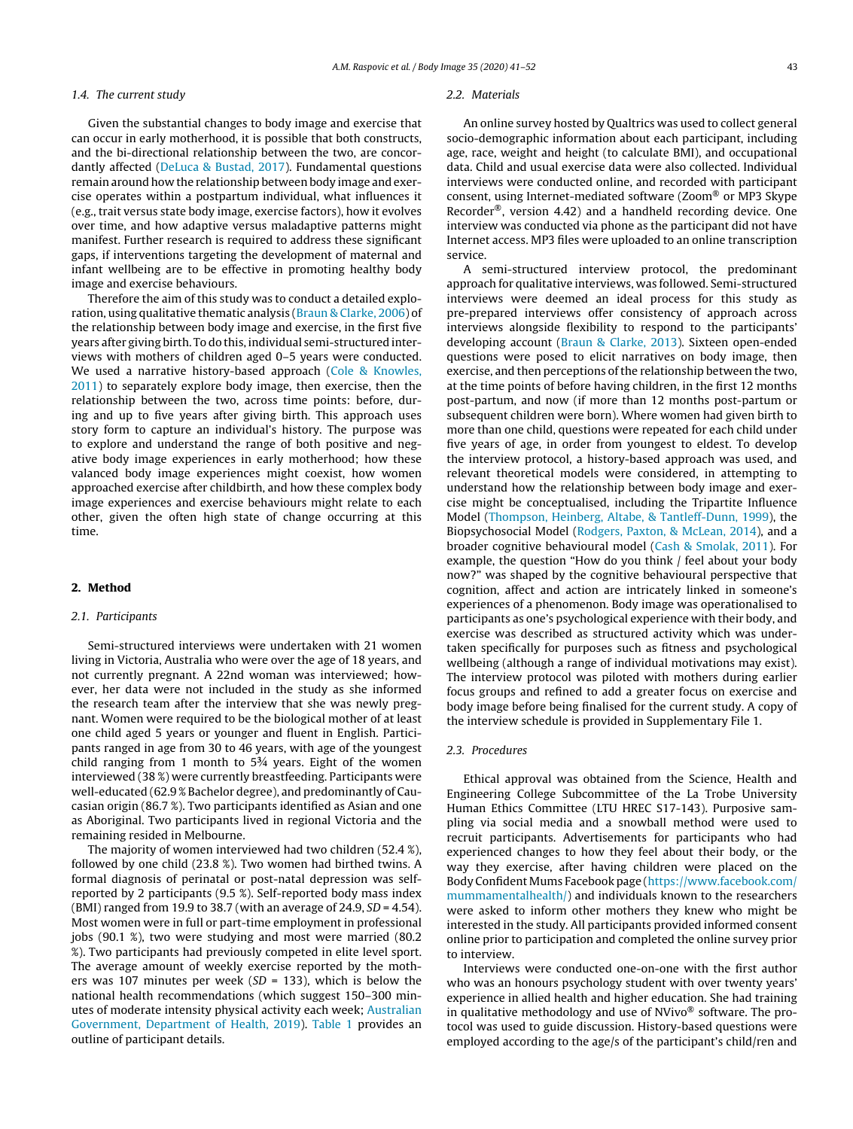#### 1.4. The current study

Given the substantial changes to body image and exercise that can occur in early motherhood, it is possible that both constructs, and the bi-directional relationship between the two, are concordantly affected ([DeLuca](#page-10-0) [&](#page-10-0) [Bustad,](#page-10-0) [2017\).](#page-10-0) Fundamental questions remain around how the relationship between body image and exercise operates within a postpartum individual, what influences it (e.g., trait versus state body image, exercise factors), how it evolves over time, and how adaptive versus maladaptive patterns might manifest. Further research is required to address these significant gaps, if interventions targeting the development of maternal and infant wellbeing are to be effective in promoting healthy body image and exercise behaviours.

Therefore the aim of this study was to conduct a detailed exploration, using qualitative thematic analysis [\(Braun](#page-10-0) [&](#page-10-0) [Clarke,](#page-10-0) [2006\)](#page-10-0) of the relationship between body image and exercise, in the first five years after giving birth. To do this, individual semi-structured interviews with mothers of children aged 0–5 years were conducted. We used a narrative history-based approach ([Cole](#page-10-0) [&](#page-10-0) [Knowles,](#page-10-0) [2011\)](#page-10-0) to separately explore body image, then exercise, then the relationship between the two, across time points: before, during and up to five years after giving birth. This approach uses story form to capture an individual's history. The purpose was to explore and understand the range of both positive and negative body image experiences in early motherhood; how these valanced body image experiences might coexist, how women approached exercise after childbirth, and how these complex body image experiences and exercise behaviours might relate to each other, given the often high state of change occurring at this time.

#### **2. Method**

## 2.1. Participants

Semi-structured interviews were undertaken with 21 women living in Victoria, Australia who were over the age of 18 years, and not currently pregnant. A 22nd woman was interviewed; however, her data were not included in the study as she informed the research team after the interview that she was newly pregnant. Women were required to be the biological mother of at least one child aged 5 years or younger and fluent in English. Participants ranged in age from 30 to 46 years, with age of the youngest child ranging from 1 month to 5¾ years. Eight of the women interviewed (38 %) were currently breastfeeding. Participants were well-educated (62.9 % Bachelor degree), and predominantly of Caucasian origin (86.7 %). Two participants identified as Asian and one as Aboriginal. Two participants lived in regional Victoria and the remaining resided in Melbourne.

The majority of women interviewed had two children (52.4 %), followed by one child (23.8 %). Two women had birthed twins. A formal diagnosis of perinatal or post-natal depression was selfreported by 2 participants (9.5 %). Self-reported body mass index (BMI) ranged from 19.9 to 38.7 (with an average of 24.9, SD = 4.54). Most women were in full or part-time employment in professional jobs (90.1 %), two were studying and most were married (80.2 %). Two participants had previously competed in elite level sport. The average amount of weekly exercise reported by the mothers was 107 minutes per week ( $SD = 133$ ), which is below the national health recommendations (which suggest 150–300 minutes of moderate intensity physical activity each week; [Australian](#page-10-0) [Government,](#page-10-0) [Department](#page-10-0) [of](#page-10-0) [Health,](#page-10-0) [2019\).](#page-10-0) [Table](#page-3-0) 1 provides an outline of participant details.

#### 2.2. Materials

An online survey hosted by Qualtrics was used to collect general socio-demographic information about each participant, including age, race, weight and height (to calculate BMI), and occupational data. Child and usual exercise data were also collected. Individual interviews were conducted online, and recorded with participant consent, using Internet-mediated software (Zoom® or MP3 Skype Recorder®, version 4.42) and a handheld recording device. One interview was conducted via phone as the participant did not have Internet access. MP3 files were uploaded to an online transcription service.

A semi-structured interview protocol, the predominant approach for qualitative interviews, was followed. Semi-structured interviews were deemed an ideal process for this study as pre-prepared interviews offer consistency of approach across interviews alongside flexibility to respond to the participants' developing account [\(Braun](#page-10-0) [&](#page-10-0) [Clarke,](#page-10-0) [2013\).](#page-10-0) Sixteen open-ended questions were posed to elicit narratives on body image, then exercise, and then perceptions of the relationship between the two, at the time points of before having children, in the first 12 months post-partum, and now (if more than 12 months post-partum or subsequent children were born). Where women had given birth to more than one child, questions were repeated for each child under five years of age, in order from youngest to eldest. To develop the interview protocol, a history-based approach was used, and relevant theoretical models were considered, in attempting to understand how the relationship between body image and exercise might be conceptualised, including the Tripartite Influence Model [\(Thompson,](#page-11-0) [Heinberg,](#page-11-0) [Altabe,](#page-11-0) [&](#page-11-0) [Tantleff-Dunn,](#page-11-0) [1999\),](#page-11-0) the Biopsychosocial Model ([Rodgers,](#page-10-0) [Paxton,](#page-10-0) [&](#page-10-0) [McLean,](#page-10-0) [2014\),](#page-10-0) and a broader cognitive behavioural model ([Cash](#page-10-0) [&](#page-10-0) [Smolak,](#page-10-0) [2011\).](#page-10-0) For example, the question "How do you think / feel about your body now?" was shaped by the cognitive behavioural perspective that cognition, affect and action are intricately linked in someone's experiences of a phenomenon. Body image was operationalised to participants as one's psychological experience with their body, and exercise was described as structured activity which was undertaken specifically for purposes such as fitness and psychological wellbeing (although a range of individual motivations may exist). The interview protocol was piloted with mothers during earlier focus groups and refined to add a greater focus on exercise and body image before being finalised for the current study. A copy of the interview schedule is provided in Supplementary File 1.

#### 2.3. Procedures

Ethical approval was obtained from the Science, Health and Engineering College Subcommittee of the La Trobe University Human Ethics Committee (LTU HREC S17-143). Purposive sampling via social media and a snowball method were used to recruit participants. Advertisements for participants who had experienced changes to how they feel about their body, or the way they exercise, after having children were placed on the Body Confident Mums Facebook page [\(https://www.facebook.com/](https://www.facebook.com/mummamentalhealth/) [mummamentalhealth/\)](https://www.facebook.com/mummamentalhealth/) and individuals known to the researchers were asked to inform other mothers they knew who might be interested in the study. All participants provided informed consent online prior to participation and completed the online survey prior to interview.

Interviews were conducted one-on-one with the first author who was an honours psychology student with over twenty years' experience in allied health and higher education. She had training in qualitative methodology and use of NVivo® software. The protocol was used to guide discussion. History-based questions were employed according to the age/s of the participant's child/ren and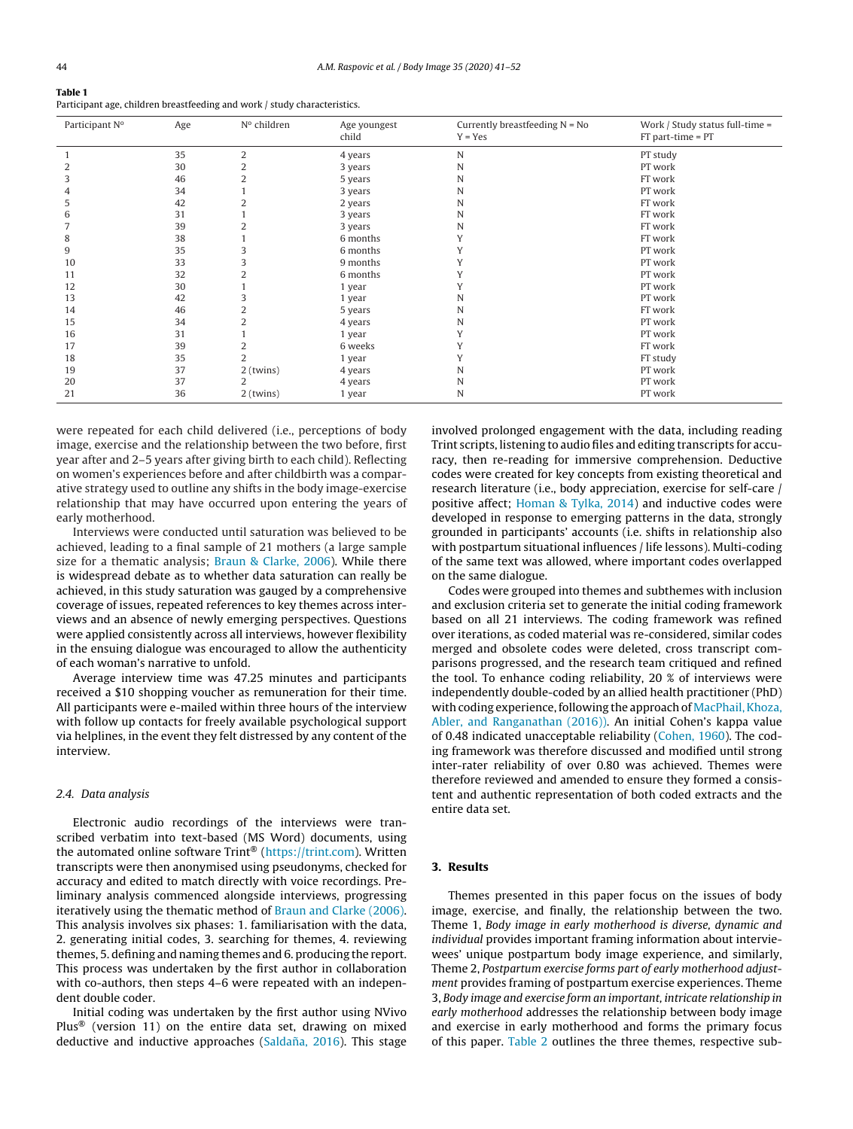<span id="page-3-0"></span>

| Table 1                                                                   |
|---------------------------------------------------------------------------|
| Participant age, children breastfeeding and work / study characteristics. |

| Participant Nº | Age | Nº children | Age youngest | Currently breastfeeding $N = No$ | Work / Study status full-time = |
|----------------|-----|-------------|--------------|----------------------------------|---------------------------------|
|                |     |             | child        | $Y = Yes$                        | $FT$ part-time = $PT$           |
|                | 35  |             | 4 years      | N                                | PT study                        |
|                | 30  |             | 3 years      | N                                | PT work                         |
| 3              | 46  |             | 5 years      | N                                | FT work                         |
|                | 34  |             | 3 years      | N                                | PT work                         |
| 5              | 42  |             | 2 years      | N                                | FT work                         |
| 6              | 31  |             | 3 years      | N                                | FT work                         |
|                | 39  |             | 3 years      | N                                | FT work                         |
| 8              | 38  |             | 6 months     |                                  | FT work                         |
| 9              | 35  |             | 6 months     |                                  | PT work                         |
| 10             | 33  |             | 9 months     |                                  | PT work                         |
| 11             | 32  |             | 6 months     |                                  | PT work                         |
| 12             | 30  |             | 1 year       |                                  | PT work                         |
| 13             | 42  |             | 1 year       | N                                | PT work                         |
| 14             | 46  |             | 5 years      | N                                | FT work                         |
| 15             | 34  |             | 4 years      | N                                | PT work                         |
| 16             | 31  |             | 1 year       |                                  | PT work                         |
| 17             | 39  |             | 6 weeks      |                                  | FT work                         |
| 18             | 35  |             | 1 year       |                                  | FT study                        |
| 19             | 37  | 2 (twins)   | 4 years      | N                                | PT work                         |
| 20             | 37  |             | 4 years      | N                                | PT work                         |
| 21             | 36  | 2 (twins)   | 1 year       | N                                | PT work                         |

were repeated for each child delivered (i.e., perceptions of body image, exercise and the relationship between the two before, first year after and 2–5 years after giving birth to each child). Reflecting on women's experiences before and after childbirth was a comparative strategy used to outline any shifts in the body image-exercise relationship that may have occurred upon entering the years of early motherhood.

Interviews were conducted until saturation was believed to be achieved, leading to a final sample of 21 mothers (a large sample size for a thematic analysis; [Braun](#page-10-0) [&](#page-10-0) [Clarke,](#page-10-0) [2006\).](#page-10-0) While there is widespread debate as to whether data saturation can really be achieved, in this study saturation was gauged by a comprehensive coverage of issues, repeated references to key themes across interviews and an absence of newly emerging perspectives. Questions were applied consistently across all interviews, however flexibility in the ensuing dialogue was encouraged to allow the authenticity of each woman's narrative to unfold.

Average interview time was 47.25 minutes and participants received a \$10 shopping voucher as remuneration for their time. All participants were e-mailed within three hours of the interview with follow up contacts for freely available psychological support via helplines, in the event they felt distressed by any content of the interview.

## 2.4. Data analysis

Electronic audio recordings of the interviews were transcribed verbatim into text-based (MS Word) documents, using the automated online software Trint® [\(https://trint.com](https://trint.com)). Written transcripts were then anonymised using pseudonyms, checked for accuracy and edited to match directly with voice recordings. Preliminary analysis commenced alongside interviews, progressing iteratively using the thematic method of [Braun](#page-10-0) [and](#page-10-0) [Clarke](#page-10-0) [\(2006\).](#page-10-0) This analysis involves six phases: 1. familiarisation with the data, 2. generating initial codes, 3. searching for themes, 4. reviewing themes, 5. defining and naming themes and 6. producing the report. This process was undertaken by the first author in collaboration with co-authors, then steps 4–6 were repeated with an independent double coder.

Initial coding was undertaken by the first author using NVivo Plus<sup>®</sup> (version 11) on the entire data set, drawing on mixed deductive and inductive approaches (Saldaña, [2016\).](#page-10-0) This stage involved prolonged engagement with the data, including reading Trint scripts, listening to audio files and editing transcripts for accuracy, then re-reading for immersive comprehension. Deductive codes were created for key concepts from existing theoretical and research literature (i.e., body appreciation, exercise for self-care / positive affect; [Homan](#page-10-0) [&](#page-10-0) [Tylka,](#page-10-0) [2014\)](#page-10-0) and inductive codes were developed in response to emerging patterns in the data, strongly grounded in participants' accounts (i.e. shifts in relationship also with postpartum situational influences / life lessons). Multi-coding of the same text was allowed, where important codes overlapped on the same dialogue.

Codes were grouped into themes and subthemes with inclusion and exclusion criteria set to generate the initial coding framework based on all 21 interviews. The coding framework was refined over iterations, as coded material was re-considered, similar codes merged and obsolete codes were deleted, cross transcript comparisons progressed, and the research team critiqued and refined the tool. To enhance coding reliability, 20 % of interviews were independently double-coded by an allied health practitioner (PhD) with coding experience, following the approach of MacPhail, Khoza, [Abler,](#page-10-0) [and](#page-10-0) [Ranganathan](#page-10-0) [\(2016\)\).](#page-10-0) An initial Cohen's kappa value of 0.48 indicated unacceptable reliability [\(Cohen,](#page-10-0) [1960\).](#page-10-0) The coding framework was therefore discussed and modified until strong inter-rater reliability of over 0.80 was achieved. Themes were therefore reviewed and amended to ensure they formed a consistent and authentic representation of both coded extracts and the entire data set.

# **3. Results**

Themes presented in this paper focus on the issues of body image, exercise, and finally, the relationship between the two. Theme 1, Body image in early motherhood is diverse, dynamic and individual provides important framing information about interviewees' unique postpartum body image experience, and similarly, Theme 2, Postpartum exercise forms part of early motherhood adjustment provides framing of postpartum exercise experiences. Theme 3, Body image and exercise form an important, intricate relationship in early motherhood addresses the relationship between body image and exercise in early motherhood and forms the primary focus of this paper. [Table](#page-4-0) 2 outlines the three themes, respective sub-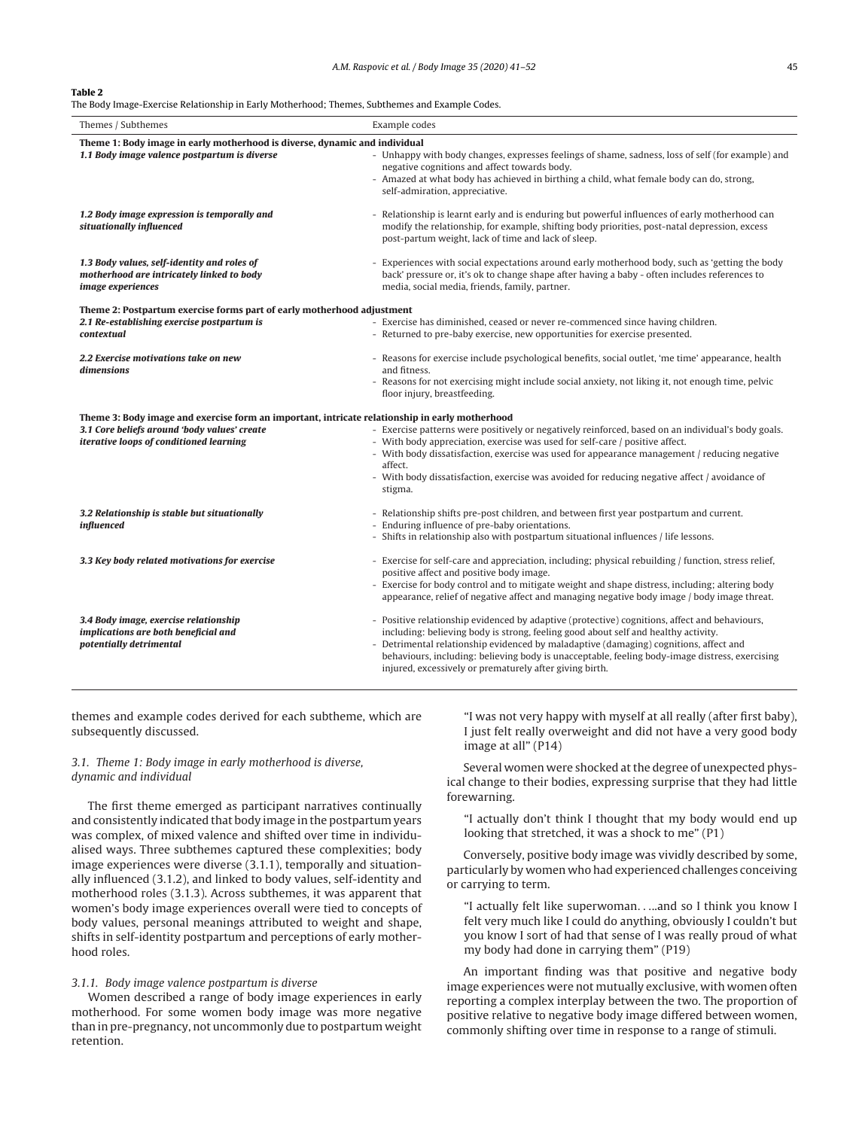#### <span id="page-4-0"></span>**Table 2**

The Body Image-Exercise Relationship in Early Motherhood; Themes, Subthemes and Example Codes.

| Themes / Subthemes                                                                                                                                                                        |                                                                                                                                                                                                                                                                                                                                                                                                                                           |
|-------------------------------------------------------------------------------------------------------------------------------------------------------------------------------------------|-------------------------------------------------------------------------------------------------------------------------------------------------------------------------------------------------------------------------------------------------------------------------------------------------------------------------------------------------------------------------------------------------------------------------------------------|
|                                                                                                                                                                                           | Example codes                                                                                                                                                                                                                                                                                                                                                                                                                             |
| Theme 1: Body image in early motherhood is diverse, dynamic and individual<br>1.1 Body image valence postpartum is diverse                                                                | - Unhappy with body changes, expresses feelings of shame, sadness, loss of self (for example) and<br>negative cognitions and affect towards body.<br>- Amazed at what body has achieved in birthing a child, what female body can do, strong,<br>self-admiration, appreciative.                                                                                                                                                           |
| 1.2 Body image expression is temporally and<br>situationally influenced                                                                                                                   | - Relationship is learnt early and is enduring but powerful influences of early motherhood can<br>modify the relationship, for example, shifting body priorities, post-natal depression, excess<br>post-partum weight, lack of time and lack of sleep.                                                                                                                                                                                    |
| 1.3 Body values, self-identity and roles of<br>motherhood are intricately linked to body<br><i>image experiences</i>                                                                      | - Experiences with social expectations around early motherhood body, such as 'getting the body<br>back' pressure or, it's ok to change shape after having a baby - often includes references to<br>media, social media, friends, family, partner.                                                                                                                                                                                         |
| Theme 2: Postpartum exercise forms part of early motherhood adjustment                                                                                                                    |                                                                                                                                                                                                                                                                                                                                                                                                                                           |
| 2.1 Re-establishing exercise postpartum is<br>contextual                                                                                                                                  | - Exercise has diminished, ceased or never re-commenced since having children.<br>- Returned to pre-baby exercise, new opportunities for exercise presented.                                                                                                                                                                                                                                                                              |
| 2.2 Exercise motivations take on new<br>dimensions                                                                                                                                        | - Reasons for exercise include psychological benefits, social outlet, 'me time' appearance, health<br>and fitness.<br>- Reasons for not exercising might include social anxiety, not liking it, not enough time, pelvic<br>floor injury, breastfeeding.                                                                                                                                                                                   |
|                                                                                                                                                                                           |                                                                                                                                                                                                                                                                                                                                                                                                                                           |
| Theme 3: Body image and exercise form an important, intricate relationship in early motherhood<br>3.1 Core beliefs around 'body values' create<br>iterative loops of conditioned learning | - Exercise patterns were positively or negatively reinforced, based on an individual's body goals.<br>- With body appreciation, exercise was used for self-care / positive affect.<br>- With body dissatisfaction, exercise was used for appearance management / reducing negative<br>affect.<br>- With body dissatisfaction, exercise was avoided for reducing negative affect / avoidance of<br>stigma.                                 |
| 3.2 Relationship is stable but situationally<br>influenced                                                                                                                                | - Relationship shifts pre-post children, and between first year postpartum and current.<br>- Enduring influence of pre-baby orientations.<br>- Shifts in relationship also with postpartum situational influences / life lessons.                                                                                                                                                                                                         |
| 3.3 Key body related motivations for exercise                                                                                                                                             | - Exercise for self-care and appreciation, including; physical rebuilding / function, stress relief,<br>positive affect and positive body image.<br>- Exercise for body control and to mitigate weight and shape distress, including; altering body<br>appearance, relief of negative affect and managing negative body image / body image threat.                                                                                        |
| 3.4 Body image, exercise relationship<br>implications are both beneficial and<br>potentially detrimental                                                                                  | - Positive relationship evidenced by adaptive (protective) cognitions, affect and behaviours,<br>including: believing body is strong, feeling good about self and healthy activity.<br>- Detrimental relationship evidenced by maladaptive (damaging) cognitions, affect and<br>behaviours, including: believing body is unacceptable, feeling body-image distress, exercising<br>injured, excessively or prematurely after giving birth. |

themes and example codes derived for each subtheme, which are subsequently discussed.

## 3.1. Theme 1: Body image in early motherhood is diverse, dynamic and individual

The first theme emerged as participant narratives continually and consistently indicated that body image in the postpartum years was complex, of mixed valence and shifted over time in individualised ways. Three subthemes captured these complexities; body image experiences were diverse (3.1.1), temporally and situationally influenced (3.1.2), and linked to body values, self-identity and motherhood roles (3.1.3). Across subthemes, it was apparent that women's body image experiences overall were tied to concepts of body values, personal meanings attributed to weight and shape, shifts in self-identity postpartum and perceptions of early motherhood roles.

#### 3.1.1. Body image valence postpartum is diverse

Women described a range of body image experiences in early motherhood. For some women body image was more negative than in pre-pregnancy, not uncommonly due to postpartum weight retention.

"I was not very happy with myself at all really (after first baby), I just felt really overweight and did not have a very good body image at all" (P14)

Several women were shocked at the degree of unexpected physical change to their bodies, expressing surprise that they had little forewarning.

"I actually don't think I thought that my body would end up looking that stretched, it was a shock to me" (P1)

Conversely, positive body image was vividly described by some, particularly by women who had experienced challenges conceiving or carrying to term.

"I actually felt like superwoman. . ...and so I think you know I felt very much like I could do anything, obviously I couldn't but you know I sort of had that sense of I was really proud of what my body had done in carrying them" (P19)

An important finding was that positive and negative body image experiences were not mutually exclusive, with women often reporting a complex interplay between the two. The proportion of positive relative to negative body image differed between women, commonly shifting over time in response to a range of stimuli.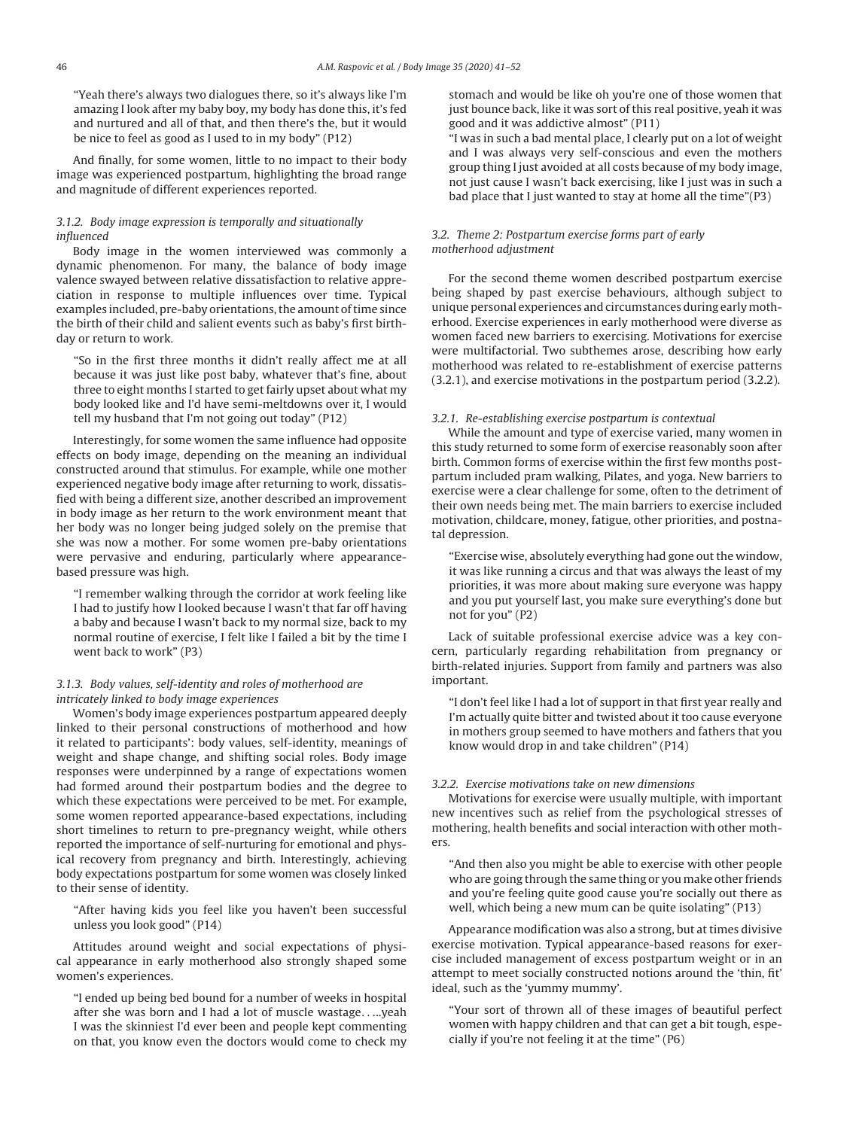"Yeah there's always two dialogues there, so it's always like I'm amazing I look after my baby boy, my body has done this, it's fed and nurtured and all of that, and then there's the, but it would be nice to feel as good as I used to in my body" (P12)

And finally, for some women, little to no impact to their body image was experienced postpartum, highlighting the broad range and magnitude of different experiences reported.

# 3.1.2. Body image expression is temporally and situationally influenced

Body image in the women interviewed was commonly a dynamic phenomenon. For many, the balance of body image valence swayed between relative dissatisfaction to relative appreciation in response to multiple influences over time. Typical examples included, pre-baby orientations, the amount of time since the birth of their child and salient events such as baby's first birthday or return to work.

"So in the first three months it didn't really affect me at all because it was just like post baby, whatever that's fine, about three to eight months I started to get fairly upset about what my body looked like and I'd have semi-meltdowns over it, I would tell my husband that I'm not going out today" (P12)

Interestingly, for some women the same influence had opposite effects on body image, depending on the meaning an individual constructed around that stimulus. For example, while one mother experienced negative body image after returning to work, dissatisfied with being a different size, another described an improvement in body image as her return to the work environment meant that her body was no longer being judged solely on the premise that she was now a mother. For some women pre-baby orientations were pervasive and enduring, particularly where appearancebased pressure was high.

"I remember walking through the corridor at work feeling like I had to justify how I looked because I wasn't that far off having a baby and because I wasn't back to my normal size, back to my normal routine of exercise, I felt like I failed a bit by the time I went back to work" (P3)

# 3.1.3. Body values, self-identity and roles of motherhood are intricately linked to body image experiences

Women's body image experiences postpartum appeared deeply linked to their personal constructions of motherhood and how it related to participants': body values, self-identity, meanings of weight and shape change, and shifting social roles. Body image responses were underpinned by a range of expectations women had formed around their postpartum bodies and the degree to which these expectations were perceived to be met. For example, some women reported appearance-based expectations, including short timelines to return to pre-pregnancy weight, while others reported the importance of self-nurturing for emotional and physical recovery from pregnancy and birth. Interestingly, achieving body expectations postpartum for some women was closely linked to their sense of identity.

"After having kids you feel like you haven't been successful unless you look good" (P14)

Attitudes around weight and social expectations of physical appearance in early motherhood also strongly shaped some women's experiences.

"I ended up being bed bound for a number of weeks in hospital after she was born and I had a lot of muscle wastage. . ...yeah I was the skinniest I'd ever been and people kept commenting on that, you know even the doctors would come to check my stomach and would be like oh you're one of those women that just bounce back, like it was sort of this real positive, yeah it was good and it was addictive almost" (P11)

"I was in such a bad mental place, I clearly put on a lot of weight and I was always very self-conscious and even the mothers group thing I just avoided at all costs because of my body image, not just cause I wasn't back exercising, like I just was in such a bad place that I just wanted to stay at home all the time"(P3)

# 3.2. Theme 2: Postpartum exercise forms part of early motherhood adjustment

For the second theme women described postpartum exercise being shaped by past exercise behaviours, although subject to unique personal experiences and circumstances during early motherhood. Exercise experiences in early motherhood were diverse as women faced new barriers to exercising. Motivations for exercise were multifactorial. Two subthemes arose, describing how early motherhood was related to re-establishment of exercise patterns (3.2.1), and exercise motivations in the postpartum period (3.2.2).

## 3.2.1. Re-establishing exercise postpartum is contextual

While the amount and type of exercise varied, many women in this study returned to some form of exercise reasonably soon after birth. Common forms of exercise within the first few months postpartum included pram walking, Pilates, and yoga. New barriers to exercise were a clear challenge for some, often to the detriment of their own needs being met. The main barriers to exercise included motivation, childcare, money, fatigue, other priorities, and postnatal depression.

"Exercise wise, absolutely everything had gone out the window, it was like running a circus and that was always the least of my priorities, it was more about making sure everyone was happy and you put yourself last, you make sure everything's done but not for you" (P2)

Lack of suitable professional exercise advice was a key concern, particularly regarding rehabilitation from pregnancy or birth-related injuries. Support from family and partners was also important.

"I don't feel like I had a lot of support in that first year really and I'm actually quite bitter and twisted about it too cause everyone in mothers group seemed to have mothers and fathers that you know would drop in and take children" (P14)

#### 3.2.2. Exercise motivations take on new dimensions

Motivations for exercise were usually multiple, with important new incentives such as relief from the psychological stresses of mothering, health benefits and social interaction with other mothers.

"And then also you might be able to exercise with other people who are going through the same thing or you make other friends and you're feeling quite good cause you're socially out there as well, which being a new mum can be quite isolating" (P13)

Appearance modification was also a strong, but at times divisive exercise motivation. Typical appearance-based reasons for exercise included management of excess postpartum weight or in an attempt to meet socially constructed notions around the 'thin, fit' ideal, such as the 'yummy mummy'.

"Your sort of thrown all of these images of beautiful perfect women with happy children and that can get a bit tough, especially if you're not feeling it at the time" (P6)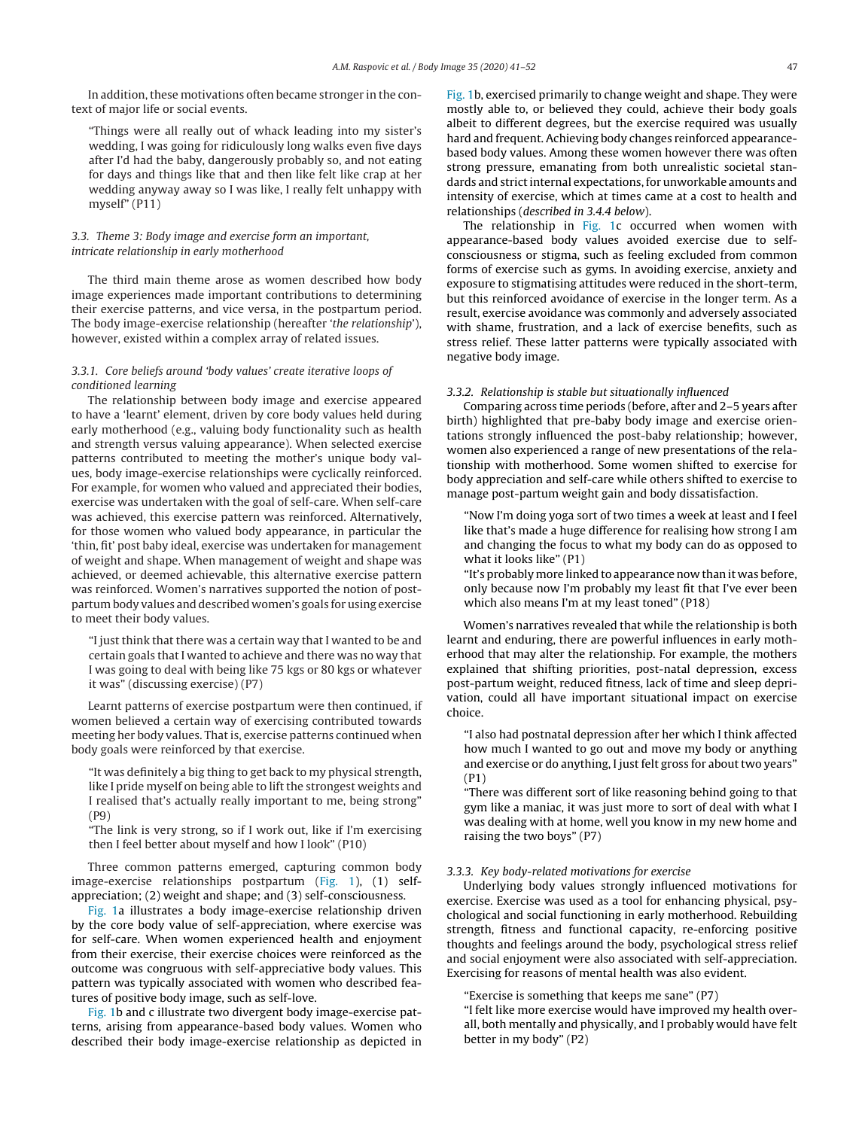In addition, these motivations often became stronger in the context of major life or social events.

"Things were all really out of whack leading into my sister's wedding, I was going for ridiculously long walks even five days after I'd had the baby, dangerously probably so, and not eating for days and things like that and then like felt like crap at her wedding anyway away so I was like, I really felt unhappy with myself" (P11)

## 3.3. Theme 3: Body image and exercise form an important, intricate relationship in early motherhood

The third main theme arose as women described how body image experiences made important contributions to determining their exercise patterns, and vice versa, in the postpartum period. The body image-exercise relationship (hereafter 'the relationship'), however, existed within a complex array of related issues.

## 3.3.1. Core beliefs around 'body values' create iterative loops of conditioned learning

The relationship between body image and exercise appeared to have a 'learnt' element, driven by core body values held during early motherhood (e.g., valuing body functionality such as health and strength versus valuing appearance). When selected exercise patterns contributed to meeting the mother's unique body values, body image-exercise relationships were cyclically reinforced. For example, for women who valued and appreciated their bodies, exercise was undertaken with the goal of self-care. When self-care was achieved, this exercise pattern was reinforced. Alternatively, for those women who valued body appearance, in particular the 'thin, fit' post baby ideal, exercise was undertaken for management of weight and shape. When management of weight and shape was achieved, or deemed achievable, this alternative exercise pattern was reinforced. Women's narratives supported the notion of postpartum body values and described women's goals for using exercise to meet their body values.

"I just think that there was a certain way that I wanted to be and certain goals that I wanted to achieve and there was no way that I was going to deal with being like 75 kgs or 80 kgs or whatever it was" (discussing exercise) (P7)

Learnt patterns of exercise postpartum were then continued, if women believed a certain way of exercising contributed towards meeting her body values. That is, exercise patterns continued when body goals were reinforced by that exercise.

"It was definitely a big thing to get back to my physical strength, like I pride myself on being able to lift the strongest weights and I realised that's actually really important to me, being strong" (P9)

"The link is very strong, so if I work out, like if I'm exercising then I feel better about myself and how I look" (P10)

Three common patterns emerged, capturing common body image-exercise relationships postpartum [\(Fig.](#page-7-0) 1), (1) selfappreciation; (2) weight and shape; and (3) self-consciousness.

[Fig.](#page-7-0) 1a illustrates a body image-exercise relationship driven by the core body value of self-appreciation, where exercise was for self-care. When women experienced health and enjoyment from their exercise, their exercise choices were reinforced as the outcome was congruous with self-appreciative body values. This pattern was typically associated with women who described features of positive body image, such as self-love.

[Fig.](#page-7-0) 1b and c illustrate two divergent body image-exercise patterns, arising from appearance-based body values. Women who described their body image-exercise relationship as depicted in [Fig.](#page-7-0) 1b, exercised primarily to change weight and shape. They were mostly able to, or believed they could, achieve their body goals albeit to different degrees, but the exercise required was usually hard and frequent. Achieving body changes reinforced appearancebased body values. Among these women however there was often strong pressure, emanating from both unrealistic societal standards and strict internal expectations, for unworkable amounts and intensity of exercise, which at times came at a cost to health and relationships (described in 3.4.4 below).

The relationship in [Fig.](#page-7-0) 1c occurred when women with appearance-based body values avoided exercise due to selfconsciousness or stigma, such as feeling excluded from common forms of exercise such as gyms. In avoiding exercise, anxiety and exposure to stigmatising attitudes were reduced in the short-term, but this reinforced avoidance of exercise in the longer term. As a result, exercise avoidance was commonly and adversely associated with shame, frustration, and a lack of exercise benefits, such as stress relief. These latter patterns were typically associated with negative body image.

#### 3.3.2. Relationship is stable but situationally influenced

Comparing across time periods (before, after and 2–5 years after birth) highlighted that pre-baby body image and exercise orientations strongly influenced the post-baby relationship; however, women also experienced a range of new presentations of the relationship with motherhood. Some women shifted to exercise for body appreciation and self-care while others shifted to exercise to manage post-partum weight gain and body dissatisfaction.

"Now I'm doing yoga sort of two times a week at least and I feel like that's made a huge difference for realising how strong I am and changing the focus to what my body can do as opposed to what it looks like" (P1)

"It's probably more linked to appearance now than it was before, only because now I'm probably my least fit that I've ever been which also means I'm at my least toned" (P18)

Women's narratives revealed that while the relationship is both learnt and enduring, there are powerful influences in early motherhood that may alter the relationship. For example, the mothers explained that shifting priorities, post-natal depression, excess post-partum weight, reduced fitness, lack of time and sleep deprivation, could all have important situational impact on exercise choice.

"I also had postnatal depression after her which I think affected how much I wanted to go out and move my body or anything and exercise or do anything, I just felt gross for about two years' (P1)

"There was different sort of like reasoning behind going to that gym like a maniac, it was just more to sort of deal with what I was dealing with at home, well you know in my new home and raising the two boys" (P7)

#### 3.3.3. Key body-related motivations for exercise

Underlying body values strongly influenced motivations for exercise. Exercise was used as a tool for enhancing physical, psychological and social functioning in early motherhood. Rebuilding strength, fitness and functional capacity, re-enforcing positive thoughts and feelings around the body, psychological stress relief and social enjoyment were also associated with self-appreciation. Exercising for reasons of mental health was also evident.

## "Exercise is something that keeps me sane" (P7)

"I felt like more exercise would have improved my health overall, both mentally and physically, and I probably would have felt better in my body" (P2)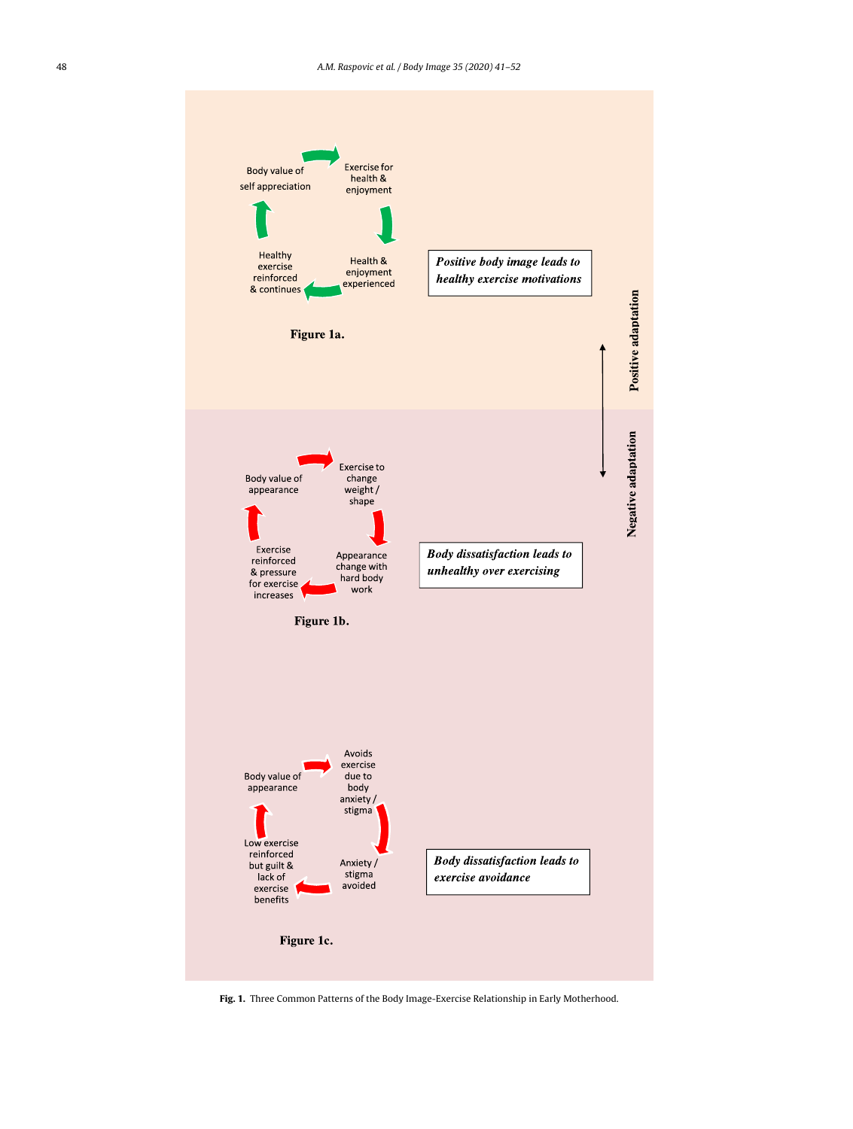<span id="page-7-0"></span>

**Fig. 1.** Three Common Patterns of the Body Image-Exercise Relationship in Early Motherhood.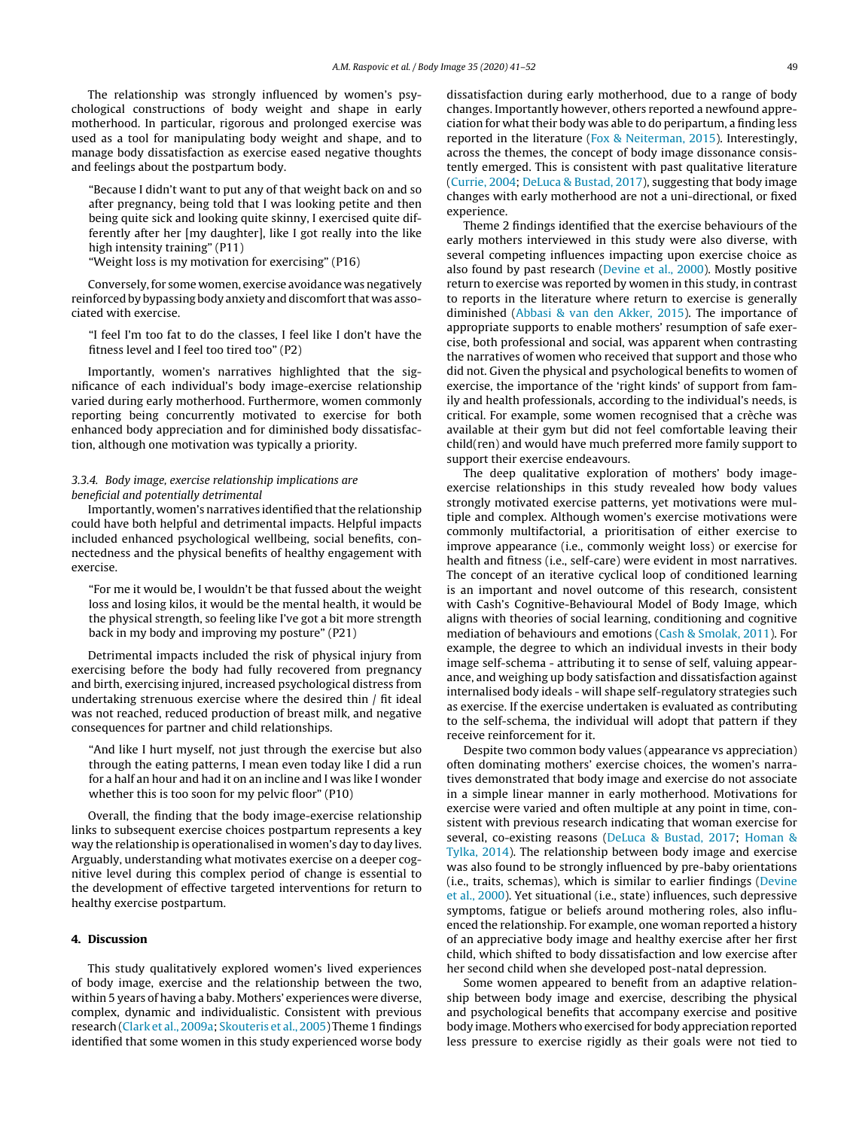The relationship was strongly influenced by women's psychological constructions of body weight and shape in early motherhood. In particular, rigorous and prolonged exercise was used as a tool for manipulating body weight and shape, and to manage body dissatisfaction as exercise eased negative thoughts and feelings about the postpartum body.

"Because I didn't want to put any of that weight back on and so after pregnancy, being told that I was looking petite and then being quite sick and looking quite skinny, I exercised quite differently after her [my daughter], like I got really into the like high intensity training" (P11)

"Weight loss is my motivation for exercising" (P16)

Conversely, for some women, exercise avoidance was negatively reinforced by bypassing body anxiety and discomfort that was associated with exercise.

"I feel I'm too fat to do the classes, I feel like I don't have the fitness level and I feel too tired too" (P2)

Importantly, women's narratives highlighted that the significance of each individual's body image-exercise relationship varied during early motherhood. Furthermore, women commonly reporting being concurrently motivated to exercise for both enhanced body appreciation and for diminished body dissatisfaction, although one motivation was typically a priority.

## 3.3.4. Body image, exercise relationship implications are beneficial and potentially detrimental

Importantly, women's narratives identified that the relationship could have both helpful and detrimental impacts. Helpful impacts included enhanced psychological wellbeing, social benefits, connectedness and the physical benefits of healthy engagement with exercise.

"For me it would be, I wouldn't be that fussed about the weight loss and losing kilos, it would be the mental health, it would be the physical strength, so feeling like I've got a bit more strength back in my body and improving my posture" (P21)

Detrimental impacts included the risk of physical injury from exercising before the body had fully recovered from pregnancy and birth, exercising injured, increased psychological distress from undertaking strenuous exercise where the desired thin / fit ideal was not reached, reduced production of breast milk, and negative consequences for partner and child relationships.

"And like I hurt myself, not just through the exercise but also through the eating patterns, I mean even today like I did a run for a half an hour and had it on an incline and I was like I wonder whether this is too soon for my pelvic floor" (P10)

Overall, the finding that the body image-exercise relationship links to subsequent exercise choices postpartum represents a key way the relationship is operationalised in women's day to day lives. Arguably, understanding what motivates exercise on a deeper cognitive level during this complex period of change is essential to the development of effective targeted interventions for return to healthy exercise postpartum.

## **4. Discussion**

This study qualitatively explored women's lived experiences of body image, exercise and the relationship between the two, within 5 years of having a baby. Mothers' experiences were diverse, complex, dynamic and individualistic. Consistent with previous research ([Clark](#page-10-0) et [al.,](#page-10-0) [2009a;](#page-10-0) [Skouteris](#page-10-0) et [al.,](#page-10-0) [2005\)](#page-10-0) Theme 1findings identified that some women in this study experienced worse body dissatisfaction during early motherhood, due to a range of body changes. Importantly however, others reported a newfound appreciation for what their body was able to do peripartum, a finding less reported in the literature ([Fox](#page-10-0) [&](#page-10-0) [Neiterman,](#page-10-0) [2015\).](#page-10-0) Interestingly, across the themes, the concept of body image dissonance consistently emerged. This is consistent with past qualitative literature [\(Currie,](#page-10-0) [2004;](#page-10-0) [DeLuca](#page-10-0) [&](#page-10-0) [Bustad,](#page-10-0) [2017\),](#page-10-0) suggesting that body image changes with early motherhood are not a uni-directional, or fixed experience.

Theme 2 findings identified that the exercise behaviours of the early mothers interviewed in this study were also diverse, with several competing influences impacting upon exercise choice as also found by past research ([Devine](#page-10-0) et [al.,](#page-10-0) [2000\).](#page-10-0) Mostly positive return to exercise was reported by women in this study, in contrast to reports in the literature where return to exercise is generally diminished ([Abbasi](#page-10-0) [&](#page-10-0) [van](#page-10-0) [den](#page-10-0) [Akker,](#page-10-0) [2015\).](#page-10-0) The importance of appropriate supports to enable mothers' resumption of safe exercise, both professional and social, was apparent when contrasting the narratives of women who received that support and those who did not. Given the physical and psychological benefits to women of exercise, the importance of the 'right kinds' of support from family and health professionals, according to the individual's needs, is critical. For example, some women recognised that a crèche was available at their gym but did not feel comfortable leaving their child(ren) and would have much preferred more family support to support their exercise endeavours.

The deep qualitative exploration of mothers' body imageexercise relationships in this study revealed how body values strongly motivated exercise patterns, yet motivations were multiple and complex. Although women's exercise motivations were commonly multifactorial, a prioritisation of either exercise to improve appearance (i.e., commonly weight loss) or exercise for health and fitness (i.e., self-care) were evident in most narratives. The concept of an iterative cyclical loop of conditioned learning is an important and novel outcome of this research, consistent with Cash's Cognitive-Behavioural Model of Body Image, which aligns with theories of social learning, conditioning and cognitive mediation of behaviours and emotions ([Cash](#page-10-0) [&](#page-10-0) [Smolak,](#page-10-0) [2011\).](#page-10-0) For example, the degree to which an individual invests in their body image self-schema - attributing it to sense of self, valuing appearance, and weighing up body satisfaction and dissatisfaction against internalised body ideals - will shape self-regulatory strategies such as exercise. If the exercise undertaken is evaluated as contributing to the self-schema, the individual will adopt that pattern if they receive reinforcement for it.

Despite two common body values (appearance vs appreciation) often dominating mothers' exercise choices, the women's narratives demonstrated that body image and exercise do not associate in a simple linear manner in early motherhood. Motivations for exercise were varied and often multiple at any point in time, consistent with previous research indicating that woman exercise for several, co-existing reasons [\(DeLuca](#page-10-0) [&](#page-10-0) [Bustad,](#page-10-0) [2017;](#page-10-0) [Homan](#page-10-0) [&](#page-10-0) [Tylka,](#page-10-0) [2014\).](#page-10-0) The relationship between body image and exercise was also found to be strongly influenced by pre-baby orientations (i.e., traits, schemas), which is similar to earlier findings [\(Devine](#page-10-0) et [al.,](#page-10-0) [2000\).](#page-10-0) Yet situational (i.e., state) influences, such depressive symptoms, fatigue or beliefs around mothering roles, also influenced the relationship. For example, one woman reported a history of an appreciative body image and healthy exercise after her first child, which shifted to body dissatisfaction and low exercise after her second child when she developed post-natal depression.

Some women appeared to benefit from an adaptive relationship between body image and exercise, describing the physical and psychological benefits that accompany exercise and positive body image. Mothers who exercised for body appreciation reported less pressure to exercise rigidly as their goals were not tied to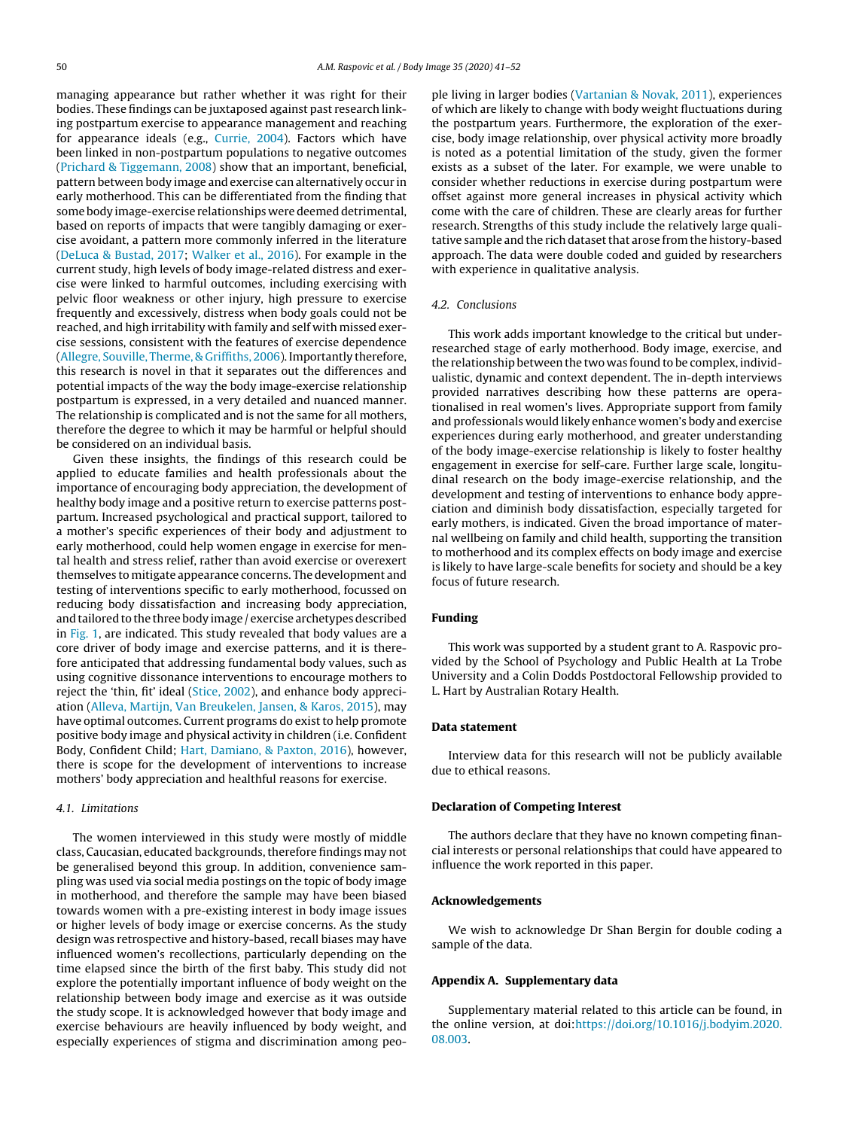managing appearance but rather whether it was right for their bodies. These findings can be juxtaposed against past research linking postpartum exercise to appearance management and reaching for appearance ideals (e.g., [Currie,](#page-10-0) [2004\).](#page-10-0) Factors which have been linked in non-postpartum populations to negative outcomes ([Prichard](#page-10-0) [&](#page-10-0) [Tiggemann,](#page-10-0) [2008\)](#page-10-0) show that an important, beneficial, pattern between body image and exercise can alternatively occur in early motherhood. This can be differentiated from the finding that some body image-exercise relationships were deemed detrimental, based on reports of impacts that were tangibly damaging or exercise avoidant, a pattern more commonly inferred in the literature ([DeLuca](#page-10-0) [&](#page-10-0) [Bustad,](#page-10-0) [2017;](#page-10-0) [Walker](#page-11-0) et [al.,](#page-11-0) [2016\).](#page-11-0) For example in the current study, high levels of body image-related distress and exercise were linked to harmful outcomes, including exercising with pelvic floor weakness or other injury, high pressure to exercise frequently and excessively, distress when body goals could not be reached, and high irritability with family and self with missed exercise sessions, consistent with the features of exercise dependence ([Allegre,](#page-10-0) [Souville,](#page-10-0) [Therme,](#page-10-0) [&](#page-10-0) [Griffiths,](#page-10-0) [2006\).](#page-10-0) Importantly therefore, this research is novel in that it separates out the differences and potential impacts of the way the body image-exercise relationship postpartum is expressed, in a very detailed and nuanced manner. The relationship is complicated and is not the same for all mothers, therefore the degree to which it may be harmful or helpful should be considered on an individual basis.

Given these insights, the findings of this research could be applied to educate families and health professionals about the importance of encouraging body appreciation, the development of healthy body image and a positive return to exercise patterns postpartum. Increased psychological and practical support, tailored to a mother's specific experiences of their body and adjustment to early motherhood, could help women engage in exercise for mental health and stress relief, rather than avoid exercise or overexert themselves to mitigate appearance concerns. The development and testing of interventions specific to early motherhood, focussed on reducing body dissatisfaction and increasing body appreciation, and tailored to the three body image / exercise archetypes described in [Fig.](#page-7-0) 1, are indicated. This study revealed that body values are a core driver of body image and exercise patterns, and it is therefore anticipated that addressing fundamental body values, such as using cognitive dissonance interventions to encourage mothers to reject the 'thin, fit' ideal ([Stice,](#page-11-0) [2002\),](#page-11-0) and enhance body appreciation ([Alleva,](#page-10-0) [Martijn,](#page-10-0) [Van](#page-10-0) [Breukelen,](#page-10-0) [Jansen,](#page-10-0) [&](#page-10-0) [Karos,](#page-10-0) [2015\),](#page-10-0) may have optimal outcomes. Current programs do exist to help promote positive body image and physical activity in children (i.e. Confident Body, Confident Child; [Hart,](#page-10-0) [Damiano,](#page-10-0) [&](#page-10-0) [Paxton,](#page-10-0) [2016\),](#page-10-0) however, there is scope for the development of interventions to increase mothers' body appreciation and healthful reasons for exercise.

## 4.1. Limitations

The women interviewed in this study were mostly of middle class, Caucasian, educated backgrounds, therefore findings may not be generalised beyond this group. In addition, convenience sampling was used via social media postings on the topic of body image in motherhood, and therefore the sample may have been biased towards women with a pre-existing interest in body image issues or higher levels of body image or exercise concerns. As the study design was retrospective and history-based, recall biases may have influenced women's recollections, particularly depending on the time elapsed since the birth of the first baby. This study did not explore the potentially important influence of body weight on the relationship between body image and exercise as it was outside the study scope. It is acknowledged however that body image and exercise behaviours are heavily influenced by body weight, and especially experiences of stigma and discrimination among peo-

ple living in larger bodies [\(Vartanian](#page-11-0) [&](#page-11-0) [Novak,](#page-11-0) [2011\),](#page-11-0) experiences of which are likely to change with body weight fluctuations during the postpartum years. Furthermore, the exploration of the exercise, body image relationship, over physical activity more broadly is noted as a potential limitation of the study, given the former exists as a subset of the later. For example, we were unable to consider whether reductions in exercise during postpartum were offset against more general increases in physical activity which come with the care of children. These are clearly areas for further research. Strengths of this study include the relatively large qualitative sample and the rich dataset that arose from the history-based approach. The data were double coded and guided by researchers with experience in qualitative analysis.

#### 4.2. Conclusions

This work adds important knowledge to the critical but underresearched stage of early motherhood. Body image, exercise, and the relationship between the two was found to be complex, individualistic, dynamic and context dependent. The in-depth interviews provided narratives describing how these patterns are operationalised in real women's lives. Appropriate support from family and professionals would likely enhance women's body and exercise experiences during early motherhood, and greater understanding of the body image-exercise relationship is likely to foster healthy engagement in exercise for self-care. Further large scale, longitudinal research on the body image-exercise relationship, and the development and testing of interventions to enhance body appreciation and diminish body dissatisfaction, especially targeted for early mothers, is indicated. Given the broad importance of maternal wellbeing on family and child health, supporting the transition to motherhood and its complex effects on body image and exercise is likely to have large-scale benefits for society and should be a key focus of future research.

#### **Funding**

This work was supported by a student grant to A. Raspovic provided by the School of Psychology and Public Health at La Trobe University and a Colin Dodds Postdoctoral Fellowship provided to L. Hart by Australian Rotary Health.

#### **Data statement**

Interview data for this research will not be publicly available due to ethical reasons.

#### **Declaration of Competing Interest**

The authors declare that they have no known competing financial interests or personal relationships that could have appeared to influence the work reported in this paper.

#### **Acknowledgements**

We wish to acknowledge Dr Shan Bergin for double coding a sample of the data.

## **Appendix A. Supplementary data**

Supplementary material related to this article can be found, in the online version, at doi[:https://doi.org/10.1016/j.bodyim.2020.](https://doi.org/10.1016/j.bodyim.2020.08.003) [08.003](https://doi.org/10.1016/j.bodyim.2020.08.003).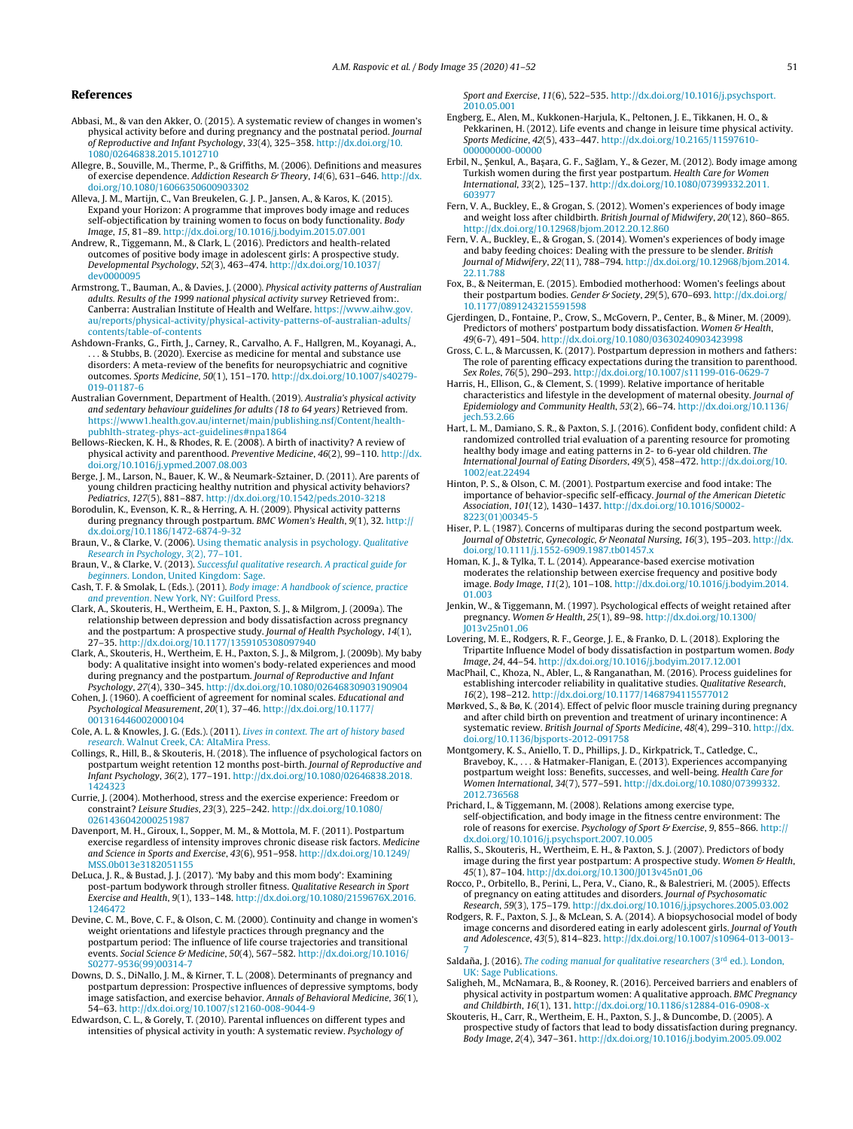#### <span id="page-10-0"></span>**References**

- Abbasi, M., & van den Akker, O. (2015). A systematic review of changes in women's physical activity before and during pregnancy and the postnatal period. Journal of Reproductive and Infant Psychology, 33(4), 325–358. [http://dx.doi.org/10.](dx.doi.org/10.1080/02646838.2015.1012710) [1080/02646838.2015.1012710](dx.doi.org/10.1080/02646838.2015.1012710)
- Allegre, B., Souville, M., Therme, P., & Griffiths, M. (2006). Definitions and measures of exercise dependence. Addiction Research & Theory, 14(6), 631–646. [http://dx.](dx.doi.org/10.1080/16066350600903302) [doi.org/10.1080/16066350600903302](dx.doi.org/10.1080/16066350600903302)
- Alleva, J. M., Martijn, C., Van Breukelen, G. J. P., Jansen, A., & Karos, K. (2015). Expand your Horizon: A programme that improves body image and reduces self-objectification by training women to focus on body functionality. Body Image, 15, 81–89. [http://dx.doi.org/10.1016/j.bodyim.2015.07.001](dx.doi.org/10.1016/j.bodyim.2015.07.001)
- Andrew, R., Tiggemann, M., & Clark, L. (2016). Predictors and health-related outcomes of positive body image in adolescent girls: A prospective study. Developmental Psychology, 52(3), 463–474. [http://dx.doi.org/10.1037/](dx.doi.org/10.1037/dev0000095) [dev0000095](dx.doi.org/10.1037/dev0000095)
- Armstrong, T., Bauman, A., & Davies, J. (2000). Physical activity patterns of Australian adults. Results of the 1999 national physical activity survey Retrieved from:. Canberra: Australian Institute of Health and Welfare. [https://www.aihw.gov.](https://www.aihw.gov.au/reports/physical-activity/physical-activity-patterns-of-australian-adults/contents/table-of-contents) [au/reports/physical-activity/physical-activity-patterns-of-australian-adults/](https://www.aihw.gov.au/reports/physical-activity/physical-activity-patterns-of-australian-adults/contents/table-of-contents) [contents/table-of-contents](https://www.aihw.gov.au/reports/physical-activity/physical-activity-patterns-of-australian-adults/contents/table-of-contents)
- Ashdown-Franks, G., Firth, J., Carney, R., Carvalho, A. F., Hallgren, M., Koyanagi, A., . . . & Stubbs, B. (2020). Exercise as medicine for mental and substance use disorders: A meta-review of the benefits for neuropsychiatric and cognitive outcomes. Sports Medicine, 50(1), 151–170. [http://dx.doi.org/10.1007/s40279-](dx.doi.org/10.1007/s40279-019-01187-6) [019-01187-6](dx.doi.org/10.1007/s40279-019-01187-6)
- Australian Government, Department of Health. (2019). Australia's physical activity and sedentary behaviour guidelines for adults (18 to 64 years) Retrieved from. [https://www1.health.gov.au/internet/main/publishing.nsf/Content/health](https://www1.health.gov.au/internet/main/publishing.nsf/Content/health-pubhlth-strateg-phys-act-guidelines#npa1864)[pubhlth-strateg-phys-act-guidelines#npa1864](https://www1.health.gov.au/internet/main/publishing.nsf/Content/health-pubhlth-strateg-phys-act-guidelines#npa1864)
- Bellows-Riecken, K. H., & Rhodes, R. E. (2008). A birth of inactivity? A review of physical activity and parenthood. Preventive Medicine, 46(2), 99–110. [http://dx.](dx.doi.org/10.1016/j.ypmed.2007.08.003) [doi.org/10.1016/j.ypmed.2007.08.003](dx.doi.org/10.1016/j.ypmed.2007.08.003)
- Berge, J. M., Larson, N., Bauer, K. W., & Neumark-Sztainer, D. (2011). Are parents of young children practicing healthy nutrition and physical activity behaviors? Pediatrics, 127(5), 881–887. [http://dx.doi.org/10.1542/peds.2010-3218](dx.doi.org/10.1542/peds.2010-3218)
- Borodulin, K., Evenson, K. R., & Herring, A. H. (2009). Physical activity patterns during pregnancy through postpartum. BMC Women's Health, 9(1), 32. [http://](dx.doi.org/10.1186/1472-6874-9-32) <dx.doi.org/10.1186/1472-6874-9-32>
- Braun, V., & Clarke, V. (2006). [Using](http://refhub.elsevier.com/S1740-1445(20)30374-0/sbref0055) [thematic](http://refhub.elsevier.com/S1740-1445(20)30374-0/sbref0055) [analysis](http://refhub.elsevier.com/S1740-1445(20)30374-0/sbref0055) [in](http://refhub.elsevier.com/S1740-1445(20)30374-0/sbref0055) [psychology.](http://refhub.elsevier.com/S1740-1445(20)30374-0/sbref0055) [Qualitative](http://refhub.elsevier.com/S1740-1445(20)30374-0/sbref0055) [Research](http://refhub.elsevier.com/S1740-1445(20)30374-0/sbref0055) [in](http://refhub.elsevier.com/S1740-1445(20)30374-0/sbref0055) [Psychology](http://refhub.elsevier.com/S1740-1445(20)30374-0/sbref0055)[,](http://refhub.elsevier.com/S1740-1445(20)30374-0/sbref0055) [3](http://refhub.elsevier.com/S1740-1445(20)30374-0/sbref0055)[\(2\),](http://refhub.elsevier.com/S1740-1445(20)30374-0/sbref0055) [77](http://refhub.elsevier.com/S1740-1445(20)30374-0/sbref0055)–[101.](http://refhub.elsevier.com/S1740-1445(20)30374-0/sbref0055)
- Braun, V., & Clarke, V. (2013). [Successful](http://refhub.elsevier.com/S1740-1445(20)30374-0/sbref0060) [qualitative](http://refhub.elsevier.com/S1740-1445(20)30374-0/sbref0060) [research.](http://refhub.elsevier.com/S1740-1445(20)30374-0/sbref0060) [A](http://refhub.elsevier.com/S1740-1445(20)30374-0/sbref0060) [practical](http://refhub.elsevier.com/S1740-1445(20)30374-0/sbref0060) [guide](http://refhub.elsevier.com/S1740-1445(20)30374-0/sbref0060) [for](http://refhub.elsevier.com/S1740-1445(20)30374-0/sbref0060) [beginners](http://refhub.elsevier.com/S1740-1445(20)30374-0/sbref0060)[.](http://refhub.elsevier.com/S1740-1445(20)30374-0/sbref0060) [London,](http://refhub.elsevier.com/S1740-1445(20)30374-0/sbref0060) [United](http://refhub.elsevier.com/S1740-1445(20)30374-0/sbref0060) [Kingdom:](http://refhub.elsevier.com/S1740-1445(20)30374-0/sbref0060) [Sage.](http://refhub.elsevier.com/S1740-1445(20)30374-0/sbref0060)
- Cash, T. F. & Smolak, L. (Eds.). (2011). [Body](http://refhub.elsevier.com/S1740-1445(20)30374-0/sbref0065) [image:](http://refhub.elsevier.com/S1740-1445(20)30374-0/sbref0065) [A](http://refhub.elsevier.com/S1740-1445(20)30374-0/sbref0065) [handbook](http://refhub.elsevier.com/S1740-1445(20)30374-0/sbref0065) [of](http://refhub.elsevier.com/S1740-1445(20)30374-0/sbref0065) [science,](http://refhub.elsevier.com/S1740-1445(20)30374-0/sbref0065) [practice](http://refhub.elsevier.com/S1740-1445(20)30374-0/sbref0065) [and](http://refhub.elsevier.com/S1740-1445(20)30374-0/sbref0065) [prevention](http://refhub.elsevier.com/S1740-1445(20)30374-0/sbref0065)[.](http://refhub.elsevier.com/S1740-1445(20)30374-0/sbref0065) [New](http://refhub.elsevier.com/S1740-1445(20)30374-0/sbref0065) [York,](http://refhub.elsevier.com/S1740-1445(20)30374-0/sbref0065) [NY:](http://refhub.elsevier.com/S1740-1445(20)30374-0/sbref0065) [Guilford](http://refhub.elsevier.com/S1740-1445(20)30374-0/sbref0065) [Press.](http://refhub.elsevier.com/S1740-1445(20)30374-0/sbref0065)
- Clark, A., Skouteris, H., Wertheim, E. H., Paxton, S. J., & Milgrom, J. (2009a). The relationship between depression and body dissatisfaction across pregnancy and the postpartum: A prospective study. Journal of Health Psychology, 14(1), 27–35. [http://dx.doi.org/10.1177/1359105308097940](dx.doi.org/10.1177/1359105308097940)
- Clark, A., Skouteris, H., Wertheim, E. H., Paxton, S. J., & Milgrom, J. (2009b). My baby body: A qualitative insight into women's body-related experiences and mood during pregnancy and the postpartum. Journal of Reproductive and Infant Psychology, 27(4), 330–345. [http://dx.doi.org/10.1080/02646830903190904](dx.doi.org/10.1080/02646830903190904)
- Cohen, J. (1960). A coefficient of agreement for nominal scales. Educational and Psychological Measurement, 20(1), 37–46. [http://dx.doi.org/10.1177/](dx.doi.org/10.1177/001316446002000104) [001316446002000104](dx.doi.org/10.1177/001316446002000104)
- Cole, A. L. & Knowles, J. G. (Eds.). (2011). [Lives](http://refhub.elsevier.com/S1740-1445(20)30374-0/sbref0085) [in](http://refhub.elsevier.com/S1740-1445(20)30374-0/sbref0085) [context.](http://refhub.elsevier.com/S1740-1445(20)30374-0/sbref0085) [The](http://refhub.elsevier.com/S1740-1445(20)30374-0/sbref0085) [art](http://refhub.elsevier.com/S1740-1445(20)30374-0/sbref0085) [of](http://refhub.elsevier.com/S1740-1445(20)30374-0/sbref0085) [history](http://refhub.elsevier.com/S1740-1445(20)30374-0/sbref0085) [based](http://refhub.elsevier.com/S1740-1445(20)30374-0/sbref0085) [research](http://refhub.elsevier.com/S1740-1445(20)30374-0/sbref0085). [Walnut](http://refhub.elsevier.com/S1740-1445(20)30374-0/sbref0085) [Creek,](http://refhub.elsevier.com/S1740-1445(20)30374-0/sbref0085) [CA:](http://refhub.elsevier.com/S1740-1445(20)30374-0/sbref0085) [AltaMira](http://refhub.elsevier.com/S1740-1445(20)30374-0/sbref0085) [Press.](http://refhub.elsevier.com/S1740-1445(20)30374-0/sbref0085)
- Collings, R., Hill, B., & Skouteris, H. (2018). The influence of psychological factors on postpartum weight retention 12 months post-birth. Journal of Reproductive and Infant Psychology, 36(2), 177–191. [http://dx.doi.org/10.1080/02646838.2018.](dx.doi.org/10.1080/02646838.2018.1424323) [1424323](dx.doi.org/10.1080/02646838.2018.1424323)
- Currie, J. (2004). Motherhood, stress and the exercise experience: Freedom or constraint? Leisure Studies, 23(3), 225–242. [http://dx.doi.org/10.1080/](dx.doi.org/10.1080/0261436042000251987) [0261436042000251987](dx.doi.org/10.1080/0261436042000251987)
- Davenport, M. H., Giroux, I., Sopper, M. M., & Mottola, M. F. (2011). Postpartum exercise regardless of intensity improves chronic disease risk factors. Medicine and Science in Sports and Exercise, 43(6), 951–958. [http://dx.doi.org/10.1249/](dx.doi.org/10.1249/MSS.0b013e3182051155) [MSS.0b013e3182051155](dx.doi.org/10.1249/MSS.0b013e3182051155)
- DeLuca, J. R., & Bustad, J. J. (2017). 'My baby and this mom body': Examining post-partum bodywork through stroller fitness. Qualitative Research in Sport Exercise and Health, 9(1), 133–148. [http://dx.doi.org/10.1080/2159676X.2016.](dx.doi.org/10.1080/2159676X.2016.1246472) [1246472](dx.doi.org/10.1080/2159676X.2016.1246472)
- Devine, C. M., Bove, C. F., & Olson, C. M. (2000). Continuity and change in women's weight orientations and lifestyle practices through pregnancy and the postpartum period: The influence of life course trajectories and transitional events. Social Science & Medicine, 50(4), 567–582. [http://dx.doi.org/10.1016/](dx.doi.org/10.1016/S0277-9536(99)00314-7) [S0277-9536\(99\)00314-7](dx.doi.org/10.1016/S0277-9536(99)00314-7)
- Downs, D. S., DiNallo, J. M., & Kirner, T. L. (2008). Determinants of pregnancy and postpartum depression: Prospective influences of depressive symptoms, body image satisfaction, and exercise behavior. Annals of Behavioral Medicine, 36(1), 54–63. [http://dx.doi.org/10.1007/s12160-008-9044-9](dx.doi.org/10.1007/s12160-008-9044-9)
- Edwardson, C. L., & Gorely, T. (2010). Parental influences on different types and intensities of physical activity in youth: A systematic review. Psychology of

Sport and Exercise, 11(6), 522–535. [http://dx.doi.org/10.1016/j.psychsport.](dx.doi.org/10.1016/j.psychsport.2010.05.001) [2010.05.001](dx.doi.org/10.1016/j.psychsport.2010.05.001)

- Engberg, E., Alen, M., Kukkonen-Harjula, K., Peltonen, J. E., Tikkanen, H. O., & Pekkarinen, H. (2012). Life events and change in leisure time physical activity. Sports Medicine, 42(5), 433–447. [http://dx.doi.org/10.2165/11597610-](dx.doi.org/10.2165/11597610-000000000-00000) [000000000-00000](dx.doi.org/10.2165/11597610-000000000-00000)
- Erbil, N., Şenkul, A., Başara, G. F., Sağlam, Y., & Gezer, M. (2012). Body image among Turkish women during the first year postpartum. Health Care for Women International, 33(2), 125–137. [http://dx.doi.org/10.1080/07399332.2011.](dx.doi.org/10.1080/07399332.2011.603977) [603977](dx.doi.org/10.1080/07399332.2011.603977)
- Fern, V. A., Buckley, E., & Grogan, S. (2012). Women's experiences of body image and weight loss after childbirth. British Journal of Midwifery, 20(12), 860–865. [http://dx.doi.org/10.12968/bjom.2012.20.12.860](dx.doi.org/10.12968/bjom.2012.20.12.860)
- Fern, V. A., Buckley, E., & Grogan, S. (2014). Women's experiences of body image and baby feeding choices: Dealing with the pressure to be slender. British Journal of Midwifery, 22(11), 788–794. [http://dx.doi.org/10.12968/bjom.2014.](dx.doi.org/10.12968/bjom.2014.22.11.788) [22.11.788](dx.doi.org/10.12968/bjom.2014.22.11.788)
- Fox, B., & Neiterman, E. (2015). Embodied motherhood: Women's feelings about their postpartum bodies. Gender & Society, 29(5), 670-693. [http://dx.doi.org/](dx.doi.org/10.1177/0891243215591598) [10.1177/0891243215591598](dx.doi.org/10.1177/0891243215591598)
- Gjerdingen, D., Fontaine, P., Crow, S., McGovern, P., Center, B., & Miner, M. (2009). Predictors of mothers' postpartum body dissatisfaction. Women & Health, 49(6-7), 491–504. [http://dx.doi.org/10.1080/03630240903423998](dx.doi.org/10.1080/03630240903423998)
- Gross, C. L., & Marcussen, K. (2017). Postpartum depression in mothers and fathers: The role of parenting efficacy expectations during the transition to parenthood. Sex Roles, 76(5), 290–293. [http://dx.doi.org/10.1007/s11199-016-0629-7](dx.doi.org/10.1007/s11199-016-0629-7)
- Harris, H., Ellison, G., & Clement, S. (1999). Relative importance of heritable characteristics and lifestyle in the development of maternal obesity. Journal of Epidemiology and Community Health, 53(2), 66–74. [http://dx.doi.org/10.1136/](dx.doi.org/10.1136/jech.53.2.66) [jech.53.2.66](dx.doi.org/10.1136/jech.53.2.66)
- Hart, L. M., Damiano, S. R., & Paxton, S. J. (2016). Confident body, confident child: A randomized controlled trial evaluation of a parenting resource for promoting healthy body image and eating patterns in 2- to 6-year old children. The International Journal of Eating Disorders, 49(5), 458–472. [http://dx.doi.org/10.](dx.doi.org/10.1002/eat.22494) [1002/eat.22494](dx.doi.org/10.1002/eat.22494)
- Hinton, P. S., & Olson, C. M. (2001). Postpartum exercise and food intake: The importance of behavior-specific self-efficacy. Journal of the American Dietetic Association, 101(12), 1430–1437. [http://dx.doi.org/10.1016/S0002-](dx.doi.org/10.1016/S0002-8223(01)00345-5) [8223\(01\)00345-5](dx.doi.org/10.1016/S0002-8223(01)00345-5)
- Hiser, P. L. (1987). Concerns of multiparas during the second postpartum week. Journal of Obstetric, Gynecologic, & Neonatal Nursing, 16(3), 195–203. [http://dx.](dx.doi.org/10.1111/j.1552-6909.1987.tb01457.x) [doi.org/10.1111/j.1552-6909.1987.tb01457.x](dx.doi.org/10.1111/j.1552-6909.1987.tb01457.x)
- Homan, K. J., & Tylka, T. L. (2014). Appearance-based exercise motivation moderates the relationship between exercise frequency and positive body image. Body Image, 11(2), 101–108. [http://dx.doi.org/10.1016/j.bodyim.2014.](dx.doi.org/10.1016/j.bodyim.2014.01.003) [01.003](dx.doi.org/10.1016/j.bodyim.2014.01.003)
- Jenkin, W., & Tiggemann, M. (1997). Psychological effects of weight retained after pregnancy. Women & Health, 25(1), 89–98. [http://dx.doi.org/10.1300/](dx.doi.org/10.1300/J013v25n01_06) [J013v25n01](dx.doi.org/10.1300/J013v25n01_06) [06](dx.doi.org/10.1300/J013v25n01_06)
- Lovering, M. E., Rodgers, R. F., George, J. E., & Franko, D. L. (2018). Exploring the Tripartite Influence Model of body dissatisfaction in postpartum women. Body
- Image, 24, 44–54. [http://dx.doi.org/10.1016/j.bodyim.2017.12.001](dx.doi.org/10.1016/j.bodyim.2017.12.001) MacPhail, C., Khoza, N., Abler, L., & Ranganathan, M. (2016). Process guidelines for establishing intercoder reliability in qualitative studies. Qualitative Research, 16(2), 198–212. [http://dx.doi.org/10.1177/1468794115577012](dx.doi.org/10.1177/1468794115577012)
- Mørkved, S., & Bø, K. (2014). Effect of pelvic floor muscle training during pregnancy and after child birth on prevention and treatment of urinary incontinence: A systematic review. British Journal of Sports Medicine, 48(4), 299-310. [http://dx.](dx.doi.org/10.1136/bjsports-2012-091758) [doi.org/10.1136/bjsports-2012-091758](dx.doi.org/10.1136/bjsports-2012-091758)
- Montgomery, K. S., Aniello, T. D., Phillips, J. D., Kirkpatrick, T., Catledge, C., Braveboy, K., . . . & Hatmaker-Flanigan, E. (2013). Experiences accompanying postpartum weight loss: Benefits, successes, and well-being. Health Care for Women International, 34(7), 577–591. [http://dx.doi.org/10.1080/07399332.](dx.doi.org/10.1080/07399332.2012.736568) [2012.736568](dx.doi.org/10.1080/07399332.2012.736568)
- Prichard, I., & Tiggemann, M. (2008). Relations among exercise type, self-objectification, and body image in the fitness centre environment: The role of reasons for exercise. Psychology of Sport & Exercise, 9, 855–866. [http://](dx.doi.org/10.1016/j.psychsport.2007.10.005)
- <dx.doi.org/10.1016/j.psychsport.2007.10.005> Rallis, S., Skouteris, H., Wertheim, E. H., & Paxton, S. J. (2007). Predictors of body image during the first year postpartum: A prospective study. Women & Health, 45(1), 87–104. [http://dx.doi.org/10.1300/J013v45n01](dx.doi.org/10.1300/J013v45n01_06) [06](dx.doi.org/10.1300/J013v45n01_06)
- Rocco, P., Orbitello, B., Perini, L., Pera, V., Ciano, R., & Balestrieri, M. (2005). Effects of pregnancy on eating attitudes and disorders. Journal of Psychosomatic Research, 59(3), 175–179. [http://dx.doi.org/10.1016/j.jpsychores.2005.03.002](dx.doi.org/10.1016/j.jpsychores.2005.03.002)
- Rodgers, R. F., Paxton, S. J., & McLean, S. A. (2014). A biopsychosocial model of body image concerns and disordered eating in early adolescent girls. Journal of Youth and Adolescence, 43(5), 814–823. [http://dx.doi.org/10.1007/s10964-013-0013-](dx.doi.org/10.1007/s10964-013-0013-7) [7](dx.doi.org/10.1007/s10964-013-0013-7)
- Saldaña, J. (2016). [The](http://refhub.elsevier.com/S1740-1445(20)30374-0/sbref0230) [coding](http://refhub.elsevier.com/S1740-1445(20)30374-0/sbref0230) [manual](http://refhub.elsevier.com/S1740-1445(20)30374-0/sbref0230) [for](http://refhub.elsevier.com/S1740-1445(20)30374-0/sbref0230) [qualitative](http://refhub.elsevier.com/S1740-1445(20)30374-0/sbref0230) [researchers](http://refhub.elsevier.com/S1740-1445(20)30374-0/sbref0230) [\(3rd](http://refhub.elsevier.com/S1740-1445(20)30374-0/sbref0230) [ed.\).](http://refhub.elsevier.com/S1740-1445(20)30374-0/sbref0230) [London,](http://refhub.elsevier.com/S1740-1445(20)30374-0/sbref0230) [UK:](http://refhub.elsevier.com/S1740-1445(20)30374-0/sbref0230) [Sage](http://refhub.elsevier.com/S1740-1445(20)30374-0/sbref0230) [Publications.](http://refhub.elsevier.com/S1740-1445(20)30374-0/sbref0230)
- Saligheh, M., McNamara, B., & Rooney, R. (2016). Perceived barriers and enablers of physical activity in postpartum women: A qualitative approach. BMC Pregnancy and Childbirth, 16(1), 131. [http://dx.doi.org/10.1186/s12884-016-0908-x](dx.doi.org/10.1186/s12884-016-0908-x)
- Skouteris, H., Carr, R., Wertheim, E. H., Paxton, S. J., & Duncombe, D. (2005). A prospective study of factors that lead to body dissatisfaction during pregnancy. Body Image, 2(4), 347–361. [http://dx.doi.org/10.1016/j.bodyim.2005.09.002](dx.doi.org/10.1016/j.bodyim.2005.09.002)